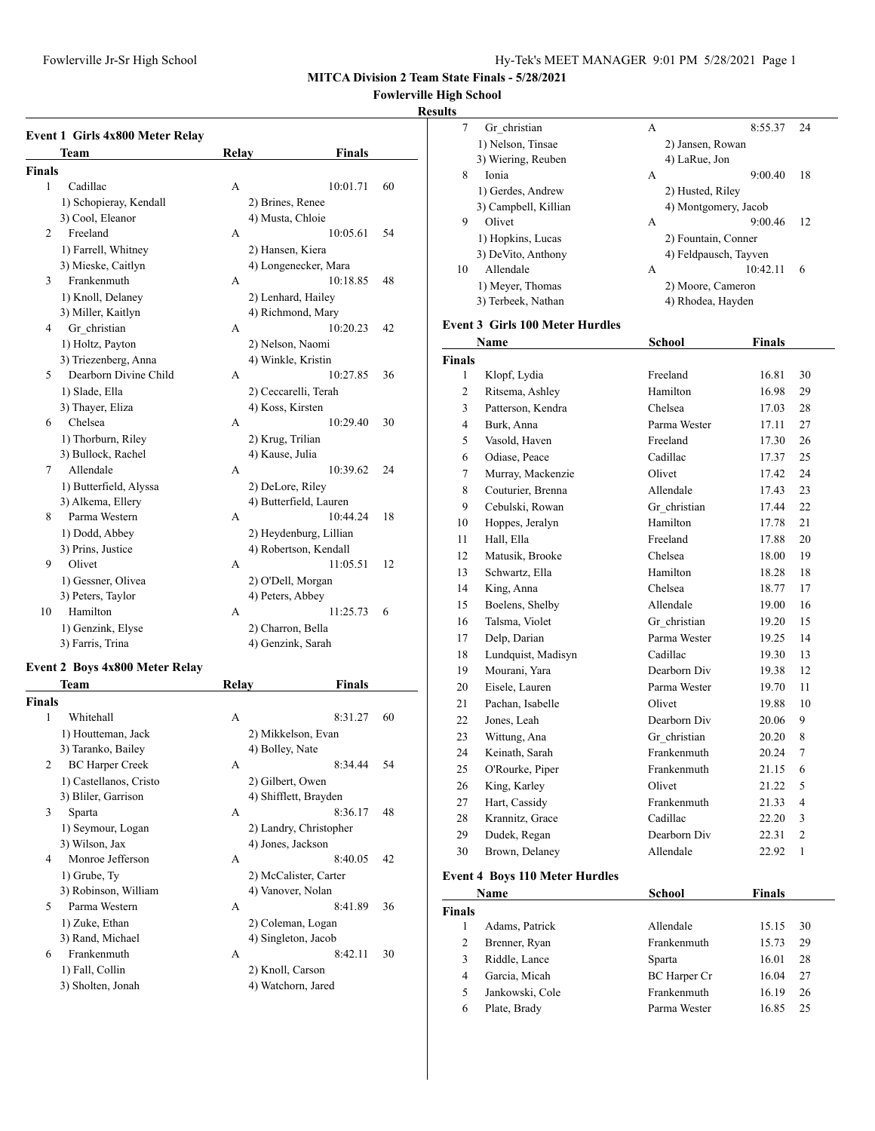#### **Fowlerville High School**

#### **Results**

| Event 1 Girls 4x800 Meter Relay |                   |                        |
|---------------------------------|-------------------|------------------------|
| <b>Team</b>                     | Relay             | <b>Finals</b>          |
| Finals                          |                   |                        |
| 1<br>Cadillac                   | A                 | 10:01.71<br>60         |
| 1) Schopieray, Kendall          | 2) Brines, Renee  |                        |
| 3) Cool, Eleanor                | 4) Musta, Chloie  |                        |
| Freeland<br>$\overline{2}$      | А                 | 10:05.61<br>54         |
| 1) Farrell, Whitney             | 2) Hansen, Kiera  |                        |
| 3) Mieske, Caitlyn              |                   | 4) Longenecker, Mara   |
| Frankenmuth<br>3                | A                 | 10:18.85<br>48         |
| 1) Knoll, Delaney               |                   | 2) Lenhard, Hailey     |
| 3) Miller, Kaitlyn              |                   | 4) Richmond, Mary      |
| Gr christian<br>$\overline{4}$  | А                 | 10:20.23<br>42         |
| 1) Holtz, Payton                | 2) Nelson, Naomi  |                        |
| 3) Triezenberg, Anna            |                   | 4) Winkle, Kristin     |
| Dearborn Divine Child<br>5      | А                 | 10:27.85<br>36         |
| 1) Slade, Ella                  |                   | 2) Ceccarelli, Terah   |
| 3) Thayer, Eliza                | 4) Koss, Kirsten  |                        |
| Chelsea<br>6                    | A                 | 10:29.40<br>30         |
| 1) Thorburn, Riley              | 2) Krug, Trilian  |                        |
| 3) Bullock, Rachel              | 4) Kause, Julia   |                        |
| Allendale<br>7                  | А                 | 10:39.62<br>24         |
| 1) Butterfield, Alyssa          | 2) DeLore, Riley  |                        |
| 3) Alkema, Ellery               |                   | 4) Butterfield, Lauren |
| Parma Western<br>8              | A                 | 10:44.24<br>18         |
| 1) Dodd, Abbey                  |                   | 2) Heydenburg, Lillian |
| 3) Prins, Justice               |                   | 4) Robertson, Kendall  |
| Olivet<br>9                     | А                 | 11:05.51<br>12         |
| 1) Gessner, Olivea              |                   | 2) O'Dell, Morgan      |
| 3) Peters, Taylor               | 4) Peters, Abbey  |                        |
| Hamilton<br>10                  | A                 | 11:25.73<br>6          |
| 1) Genzink, Elyse               | 2) Charron, Bella |                        |
| 3) Farris, Trina                |                   | 4) Genzink, Sarah      |

#### **Event 2 Boys 4x800 Meter Relay**

| <b>Team</b>                 | Relay              | Finals                 |
|-----------------------------|--------------------|------------------------|
| <b>Finals</b>               |                    |                        |
| 1<br>Whitehall              | A                  | 8:31.27<br>60          |
| 1) Houtteman, Jack          |                    | 2) Mikkelson, Evan     |
| 3) Taranko, Bailey          | 4) Bolley, Nate    |                        |
| <b>BC</b> Harper Creek<br>2 | A                  | 8:34.44<br>54          |
| 1) Castellanos, Cristo      | 2) Gilbert, Owen   |                        |
| 3) Bliler, Garrison         |                    | 4) Shifflett, Brayden  |
| 3<br>Sparta                 | A                  | 8:36.17<br>48          |
| 1) Seymour, Logan           |                    | 2) Landry, Christopher |
| 3) Wilson, Jax              | 4) Jones, Jackson  |                        |
| Monroe Jefferson<br>4       | A                  | 8:40.05<br>42          |
| 1) Grube, Ty                |                    | 2) McCalister, Carter  |
| 3) Robinson, William        | 4) Vanover, Nolan  |                        |
| 5<br>Parma Western          | A                  | 8:41.89<br>36          |
| 1) Zuke, Ethan              |                    | 2) Coleman, Logan      |
| 3) Rand, Michael            |                    | 4) Singleton, Jacob    |
| Frankenmuth<br>6            | A                  | 8:42.11<br>30          |
| 1) Fall, Collin             | 2) Knoll, Carson   |                        |
| 3) Sholten, Jonah           | 4) Watchorn, Jared |                        |
|                             |                    |                        |

| s  |                      |   |                       |    |
|----|----------------------|---|-----------------------|----|
| 7  | Gr christian         | А | 8:55.37               | 24 |
|    | 1) Nelson, Tinsae    |   | 2) Jansen, Rowan      |    |
|    | 3) Wiering, Reuben   |   | 4) LaRue, Jon         |    |
| 8  | Ionia                | А | 9:00.40               | 18 |
|    | 1) Gerdes, Andrew    |   | 2) Husted, Riley      |    |
|    | 3) Campbell, Killian |   | 4) Montgomery, Jacob  |    |
| 9  | Olivet               | А | 9:00.46               | 12 |
|    | 1) Hopkins, Lucas    |   | 2) Fountain, Conner   |    |
|    | 3) DeVito, Anthony   |   | 4) Feldpausch, Tayven |    |
| 10 | Allendale            | А | 10:42.11              | 6  |
|    | 1) Meyer, Thomas     |   | 2) Moore, Cameron     |    |
|    | 3) Terbeek, Nathan   |   | 4) Rhodea, Hayden     |    |
|    |                      |   |                       |    |

#### **Event 3 Girls 100 Meter Hurdles**

| <b>School</b><br>Name |                    | <b>Finals</b> |       |                |
|-----------------------|--------------------|---------------|-------|----------------|
| <b>Finals</b>         |                    |               |       |                |
| 1                     | Klopf, Lydia       | Freeland      | 16.81 | 30             |
| $\overline{2}$        | Ritsema, Ashley    | Hamilton      | 16.98 | 29             |
| 3                     | Patterson, Kendra  | Chelsea       | 17.03 | 28             |
| $\overline{4}$        | Burk, Anna         | Parma Wester  | 17.11 | 27             |
| 5                     | Vasold, Haven      | Freeland      | 17.30 | 26             |
| 6                     | Odiase, Peace      | Cadillac      | 17.37 | 25             |
| 7                     | Murray, Mackenzie  | Olivet        | 17.42 | 24             |
| 8                     | Couturier, Brenna  | Allendale     | 17.43 | 23             |
| 9                     | Cebulski, Rowan    | Gr christian  | 17.44 | 22             |
| 10                    | Hoppes, Jeralyn    | Hamilton      | 17.78 | 21             |
| 11                    | Hall, Ella         | Freeland      | 17.88 | 20             |
| 12                    | Matusik, Brooke    | Chelsea       | 18.00 | 19             |
| 13                    | Schwartz, Ella     | Hamilton      | 18.28 | 18             |
| 14                    | King, Anna         | Chelsea       | 18.77 | 17             |
| 15                    | Boelens, Shelby    | Allendale     | 19.00 | 16             |
| 16                    | Talsma, Violet     | Gr christian  | 19.20 | 15             |
| 17                    | Delp, Darian       | Parma Wester  | 19.25 | 14             |
| 18                    | Lundquist, Madisyn | Cadillac      | 19.30 | 13             |
| 19                    | Mourani, Yara      | Dearborn Div  | 19.38 | 12             |
| 20                    | Eisele, Lauren     | Parma Wester  | 19.70 | 11             |
| 21                    | Pachan, Isabelle   | Olivet        | 19.88 | 10             |
| 22                    | Jones, Leah        | Dearborn Div  | 20.06 | 9              |
| 23                    | Wittung, Ana       | Gr christian  | 20.20 | 8              |
| 24                    | Keinath, Sarah     | Frankenmuth   | 20.24 | $\tau$         |
| 25                    | O'Rourke, Piper    | Frankenmuth   | 21.15 | 6              |
| 26                    | King, Karley       | Olivet        | 21.22 | 5              |
| 27                    | Hart, Cassidy      | Frankenmuth   | 21.33 | 4              |
| 28                    | Krannitz, Grace    | Cadillac      | 22.20 | 3              |
| 29                    | Dudek, Regan       | Dearborn Div  | 22.31 | $\overline{2}$ |
| 30                    | Brown, Delaney     | Allendale     | 22.92 | $\mathbf{1}$   |

## **Event 4 Boys 110 Meter Hurdles**

| Name            | School              | <b>Finals</b> |    |
|-----------------|---------------------|---------------|----|
|                 |                     |               |    |
| Adams, Patrick  | Allendale           | 15.15         | 30 |
| Brenner, Ryan   | Frankenmuth         | 15.73         | 29 |
| Riddle, Lance   | Sparta              | 16.01         | 28 |
| Garcia, Micah   | <b>BC</b> Harper Cr | 16.04         | 27 |
| Jankowski, Cole | Frankenmuth         | 16.19         | 26 |
| Plate, Brady    | Parma Wester        | 16.85         | 25 |
|                 |                     |               |    |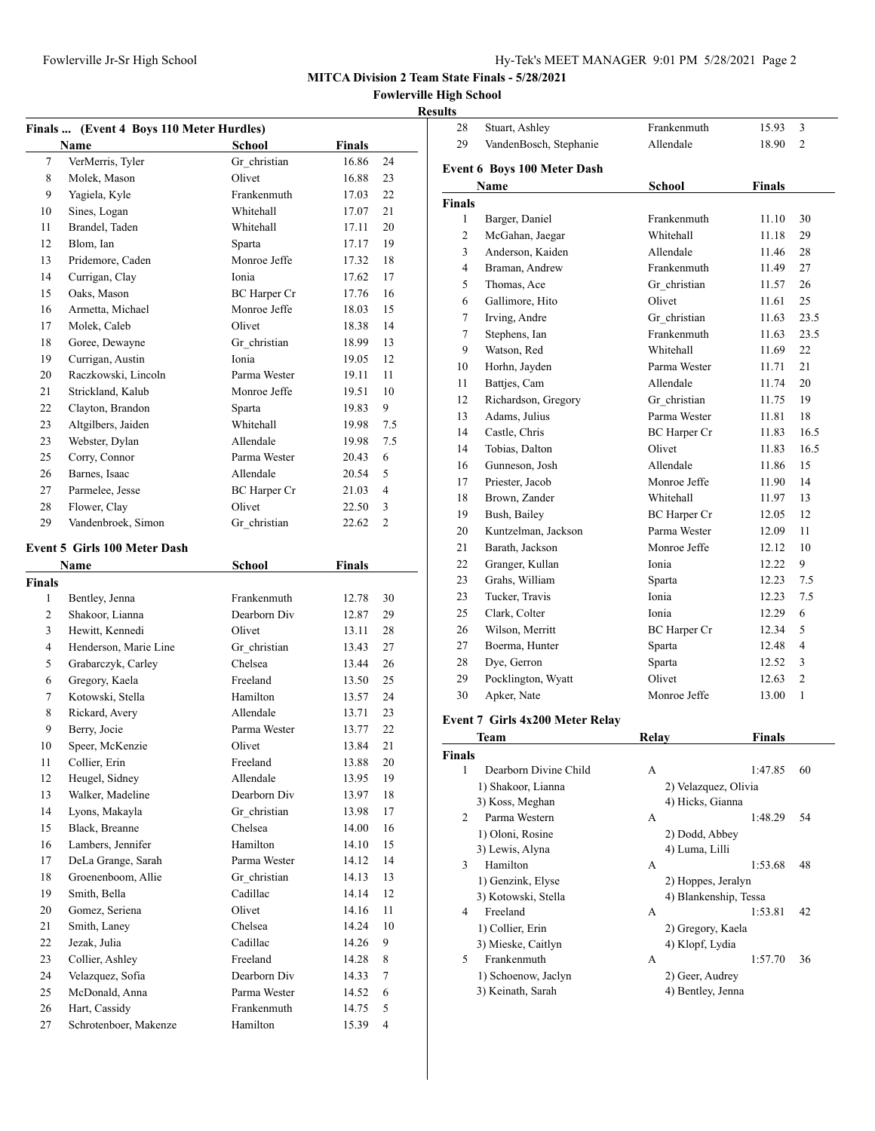| Hy-Tek's MEET MANAGER 9:01 PM 5/28/2021 Page 2 |  |  |  |
|------------------------------------------------|--|--|--|
|------------------------------------------------|--|--|--|

28 Stuart, Ashley Frankenmuth 15.93 3

**MITCA Division 2 Team State Finals - 5/28/2021**

**Fowlerville High School**

#### **Results**

|               | Finals  (Event 4 Boys 110 Meter Hurdles)<br>Name | School              | <b>Finals</b>  |                |
|---------------|--------------------------------------------------|---------------------|----------------|----------------|
| 7             | VerMerris, Tyler                                 | Gr christian        | 16.86          | 24             |
| 8             | Molek, Mason                                     | Olivet              | 16.88          | 23             |
| 9             | Yagiela, Kyle                                    | Frankenmuth         | 17.03          | 22             |
| 10            | Sines, Logan                                     | Whitehall           | 17.07          | 21             |
| 11            | Brandel, Taden                                   | Whitehall           | 17.11          | 20             |
| 12            | Blom, Ian                                        | Sparta              | 17.17          | 19             |
| 13            | Pridemore, Caden                                 | Monroe Jeffe        | 17.32          | 18             |
| 14            | Currigan, Clay                                   | Ionia               | 17.62          | 17             |
| 15            | Oaks, Mason                                      | BC Harper Cr        | 17.76          | 16             |
| 16            | Armetta, Michael                                 | Monroe Jeffe        | 18.03          | 15             |
| 17            | Molek, Caleb                                     | Olivet              | 18.38          | 14             |
| 18            | Goree, Dewayne                                   | Gr christian        | 18.99          | 13             |
| 19            | Currigan, Austin                                 | Ionia               | 19.05          | 12             |
| 20            | Raczkowski, Lincoln                              | Parma Wester        | 19.11          | 11             |
| 21            | Strickland, Kalub                                | Monroe Jeffe        | 19.51          | 10             |
| 22            | Clayton, Brandon                                 | Sparta              | 19.83          | 9              |
| 23            | Altgilbers, Jaiden                               | Whitehall           |                | 7.5            |
| 23            | Webster, Dylan                                   | Allendale           | 19.98<br>19.98 | 7.5            |
| 25            |                                                  | Parma Wester        |                | 6              |
| 26            | Corry, Connor<br>Barnes, Isaac                   | Allendale           | 20.43          | 5              |
|               |                                                  |                     | 20.54          |                |
| 27            | Parmelee, Jesse                                  | <b>BC</b> Harper Cr | 21.03          | $\overline{4}$ |
| 28            | Flower, Clay                                     | Olivet              | 22.50          | 3              |
| 29            | Vandenbroek, Simon                               | Gr christian        | 22.62          | $\overline{c}$ |
|               | <b>Event 5 Girls 100 Meter Dash</b>              |                     |                |                |
|               | Name                                             | School              | <b>Finals</b>  |                |
| <b>Finals</b> |                                                  |                     |                |                |
| 1             | Bentley, Jenna                                   | Frankenmuth         | 12.78          | 30             |
| 2             | Shakoor, Lianna                                  | Dearborn Div        | 12.87          | 29             |
| 3             | Hewitt, Kennedi                                  | Olivet              | 13.11          | 28             |
| 4             | Henderson, Marie Line                            | Gr_christian        | 13.43          | 27             |
| 5             | Grabarczyk, Carley                               | Chelsea             | 13.44          | 26             |
| 6             | Gregory, Kaela                                   | Freeland            | 13.50          | 25             |
| 7             | Kotowski, Stella                                 | Hamilton            | 13.57          | 24             |
| 8             | Rickard, Avery                                   | Allendale           | 13.71          | 23             |
| 9             | Berry, Jocie                                     | Parma Wester        | 13.77          | 22             |
| 10            | Speer, McKenzie                                  | Olivet              | 13.84          | 21             |
| 11            | Collier, Erin                                    | Freeland            | 13.88          | $20\,$         |
| 12            | Heugel, Sidney                                   | Allendale           | 13.95          | 19             |
| 13            | Walker, Madeline                                 | Dearborn Div        | 13.97          | 18             |
| 14            | Lyons, Makayla                                   | Gr christian        | 13.98          | 17             |
| 15            | Black, Breanne                                   | Chelsea             | 14.00          | 16             |
| 16            | Lambers, Jennifer                                | Hamilton            | 14.10          | 15             |
| 17            | DeLa Grange, Sarah                               | Parma Wester        | 14.12          | 14             |
| 18            | Groenenboom, Allie                               | Gr christian        | 14.13          | 13             |
| 19            | Smith, Bella                                     | Cadillac            | 14.14          | 12             |
| 20            | Gomez, Seriena                                   | Olivet              | 14.16          | 11             |
| 21            | Smith, Laney                                     | Chelsea             | 14.24          | 10             |
|               |                                                  |                     |                |                |
| 22            | Jezak, Julia                                     | Cadillac            | 14.26          | 9              |
| 23            | Collier, Ashley                                  | Freeland            | 14.28          | 8              |
| 24            | Velazquez, Sofia                                 | Dearborn Div        | 14.33          | $\tau$         |
| 25            | McDonald, Anna                                   | Parma Wester        | 14.52          | 6              |
| 26            | Hart, Cassidy                                    | Frankenmuth         | 14.75          | 5              |
| 27            | Schrotenboer, Makenze                            | Hamilton            | 15.39          | $\overline{4}$ |

| 29                                                                                                                                                                                                                                                                                                                                                                                                                                                                                                                                                   | Allendale<br>VandenBosch, Stephanie |                     | 18.90         | 2              |  |  |
|------------------------------------------------------------------------------------------------------------------------------------------------------------------------------------------------------------------------------------------------------------------------------------------------------------------------------------------------------------------------------------------------------------------------------------------------------------------------------------------------------------------------------------------------------|-------------------------------------|---------------------|---------------|----------------|--|--|
|                                                                                                                                                                                                                                                                                                                                                                                                                                                                                                                                                      | <b>Event 6 Boys 100 Meter Dash</b>  |                     |               |                |  |  |
|                                                                                                                                                                                                                                                                                                                                                                                                                                                                                                                                                      | Name                                | <b>School</b>       | <b>Finals</b> |                |  |  |
| <b>Finals</b>                                                                                                                                                                                                                                                                                                                                                                                                                                                                                                                                        |                                     |                     |               |                |  |  |
| 1                                                                                                                                                                                                                                                                                                                                                                                                                                                                                                                                                    | Barger, Daniel                      | Frankenmuth         | 11.10         | 30             |  |  |
| $\overline{2}$                                                                                                                                                                                                                                                                                                                                                                                                                                                                                                                                       | McGahan, Jaegar                     | Whitehall           | 11.18         | 29             |  |  |
| 3                                                                                                                                                                                                                                                                                                                                                                                                                                                                                                                                                    | Anderson, Kaiden                    | Allendale           | 11.46         | 28             |  |  |
| $\overline{4}$                                                                                                                                                                                                                                                                                                                                                                                                                                                                                                                                       | Braman, Andrew                      | Frankenmuth         | 11.49         | 27             |  |  |
| 5                                                                                                                                                                                                                                                                                                                                                                                                                                                                                                                                                    | Thomas, Ace                         | Gr christian        | 11.57         | 26             |  |  |
| 6                                                                                                                                                                                                                                                                                                                                                                                                                                                                                                                                                    | Gallimore, Hito                     | Olivet              | 11.61         | 25             |  |  |
| 7                                                                                                                                                                                                                                                                                                                                                                                                                                                                                                                                                    | Irving, Andre                       | Gr christian        | 11.63         | 23.5           |  |  |
| $\tau$                                                                                                                                                                                                                                                                                                                                                                                                                                                                                                                                               | Stephens, Ian                       | Frankenmuth         | 11.63         | 23.5           |  |  |
| 9                                                                                                                                                                                                                                                                                                                                                                                                                                                                                                                                                    | Watson, Red                         | Whitehall           | 11.69         | 22             |  |  |
| 10                                                                                                                                                                                                                                                                                                                                                                                                                                                                                                                                                   | Horhn, Jayden                       | Parma Wester        | 11.71         | 21             |  |  |
| 11                                                                                                                                                                                                                                                                                                                                                                                                                                                                                                                                                   | Battjes, Cam                        | Allendale           | 11.74         | 20             |  |  |
| 12                                                                                                                                                                                                                                                                                                                                                                                                                                                                                                                                                   | Richardson, Gregory                 | Gr christian        | 11.75         | 19             |  |  |
| 13                                                                                                                                                                                                                                                                                                                                                                                                                                                                                                                                                   | Adams, Julius                       | Parma Wester        | 11.81         | 18             |  |  |
| 14                                                                                                                                                                                                                                                                                                                                                                                                                                                                                                                                                   | Castle, Chris                       | <b>BC</b> Harper Cr | 11.83         | 16.5           |  |  |
| 14                                                                                                                                                                                                                                                                                                                                                                                                                                                                                                                                                   | Tobias, Dalton                      | Olivet              | 11.83         | 16.5           |  |  |
| 16                                                                                                                                                                                                                                                                                                                                                                                                                                                                                                                                                   | Gunneson, Josh                      | Allendale           | 11.86         | 15             |  |  |
| 17                                                                                                                                                                                                                                                                                                                                                                                                                                                                                                                                                   | Priester, Jacob                     | Monroe Jeffe        | 11.90         | 14             |  |  |
| 18                                                                                                                                                                                                                                                                                                                                                                                                                                                                                                                                                   | Brown, Zander                       | Whitehall           | 11.97         | 13             |  |  |
| 19                                                                                                                                                                                                                                                                                                                                                                                                                                                                                                                                                   | Bush, Bailey                        | <b>BC</b> Harper Cr | 12.05         | 12             |  |  |
| 20                                                                                                                                                                                                                                                                                                                                                                                                                                                                                                                                                   | Kuntzelman, Jackson                 | Parma Wester        | 12.09         | 11             |  |  |
| 21                                                                                                                                                                                                                                                                                                                                                                                                                                                                                                                                                   | Barath, Jackson                     | Monroe Jeffe        | 12.12         | 10             |  |  |
| 22                                                                                                                                                                                                                                                                                                                                                                                                                                                                                                                                                   | Granger, Kullan                     | Ionia               | 12.22         | 9              |  |  |
| 23                                                                                                                                                                                                                                                                                                                                                                                                                                                                                                                                                   | Grahs, William                      | Sparta              | 12.23         | 7.5            |  |  |
| 23                                                                                                                                                                                                                                                                                                                                                                                                                                                                                                                                                   | Tucker, Travis                      | Ionia               | 12.23         | 7.5            |  |  |
| 25                                                                                                                                                                                                                                                                                                                                                                                                                                                                                                                                                   | Clark, Colter                       | Ionia               | 12.29         | 6              |  |  |
| 26                                                                                                                                                                                                                                                                                                                                                                                                                                                                                                                                                   | Wilson, Merritt                     | <b>BC</b> Harper Cr | 12.34         | 5              |  |  |
| 27                                                                                                                                                                                                                                                                                                                                                                                                                                                                                                                                                   | Boerma, Hunter                      | Sparta              | 12.48         | $\overline{4}$ |  |  |
| 28                                                                                                                                                                                                                                                                                                                                                                                                                                                                                                                                                   | Dye, Gerron                         | Sparta              | 12.52         | 3              |  |  |
| 29                                                                                                                                                                                                                                                                                                                                                                                                                                                                                                                                                   | Pocklington, Wyatt                  | Olivet              | 12.63         | $\overline{c}$ |  |  |
| 30                                                                                                                                                                                                                                                                                                                                                                                                                                                                                                                                                   | Apker, Nate                         | Monroe Jeffe        | 13.00         | 1              |  |  |
| $E_{\text{scatt}}$ $\boldsymbol{\sigma}$ $\boldsymbol{\Gamma}$ $\boldsymbol{\Gamma}$ $\boldsymbol{\Gamma}$ $\boldsymbol{\Gamma}$ $\boldsymbol{\Gamma}$ $\boldsymbol{\Gamma}$ $\boldsymbol{\Gamma}$ $\boldsymbol{\Gamma}$ $\boldsymbol{\Gamma}$ $\boldsymbol{\Gamma}$ $\boldsymbol{\Gamma}$ $\boldsymbol{\Gamma}$ $\boldsymbol{\Gamma}$ $\boldsymbol{\Gamma}$ $\boldsymbol{\Gamma}$ $\boldsymbol{\Gamma}$ $\boldsymbol{\Gamma}$ $\boldsymbol{\Gamma}$ $\boldsymbol{\Gamma}$ $\boldsymbol{\Gamma}$ $\boldsymbol{\Gamma}$ $\boldsymbol{\Gamma}$ $\bold$ |                                     |                     |               |                |  |  |

#### **Event 7 Girls 4x200 Meter Relay**

|               | Team                  | Relay                | Finals                |    |
|---------------|-----------------------|----------------------|-----------------------|----|
| <b>Finals</b> |                       |                      |                       |    |
| 1             | Dearborn Divine Child | A                    | 1:47.85               | 60 |
|               | 1) Shakoor, Lianna    | 2) Velazquez, Olivia |                       |    |
|               | 3) Koss, Meghan       | 4) Hicks, Gianna     |                       |    |
| 2             | Parma Western         | A                    | 1:48.29               | 54 |
|               | 1) Oloni, Rosine      | 2) Dodd, Abbey       |                       |    |
|               | 3) Lewis, Alyna       | 4) Luma, Lilli       |                       |    |
| 3             | Hamilton              | A                    | 1:53.68               | 48 |
|               | 1) Genzink, Elyse     | 2) Hoppes, Jeralyn   |                       |    |
|               | 3) Kotowski, Stella   |                      | 4) Blankenship, Tessa |    |
| 4             | Freeland              | А                    | 1:53.81               | 42 |
|               | 1) Collier, Erin      | 2) Gregory, Kaela    |                       |    |
|               | 3) Mieske, Caitlyn    | 4) Klopf, Lydia      |                       |    |
| 5             | Frankenmuth           | A                    | 1:57.70               | 36 |
|               | 1) Schoenow, Jaclyn   | 2) Geer, Audrey      |                       |    |
|               | 3) Keinath, Sarah     | 4) Bentley, Jenna    |                       |    |
|               |                       |                      |                       |    |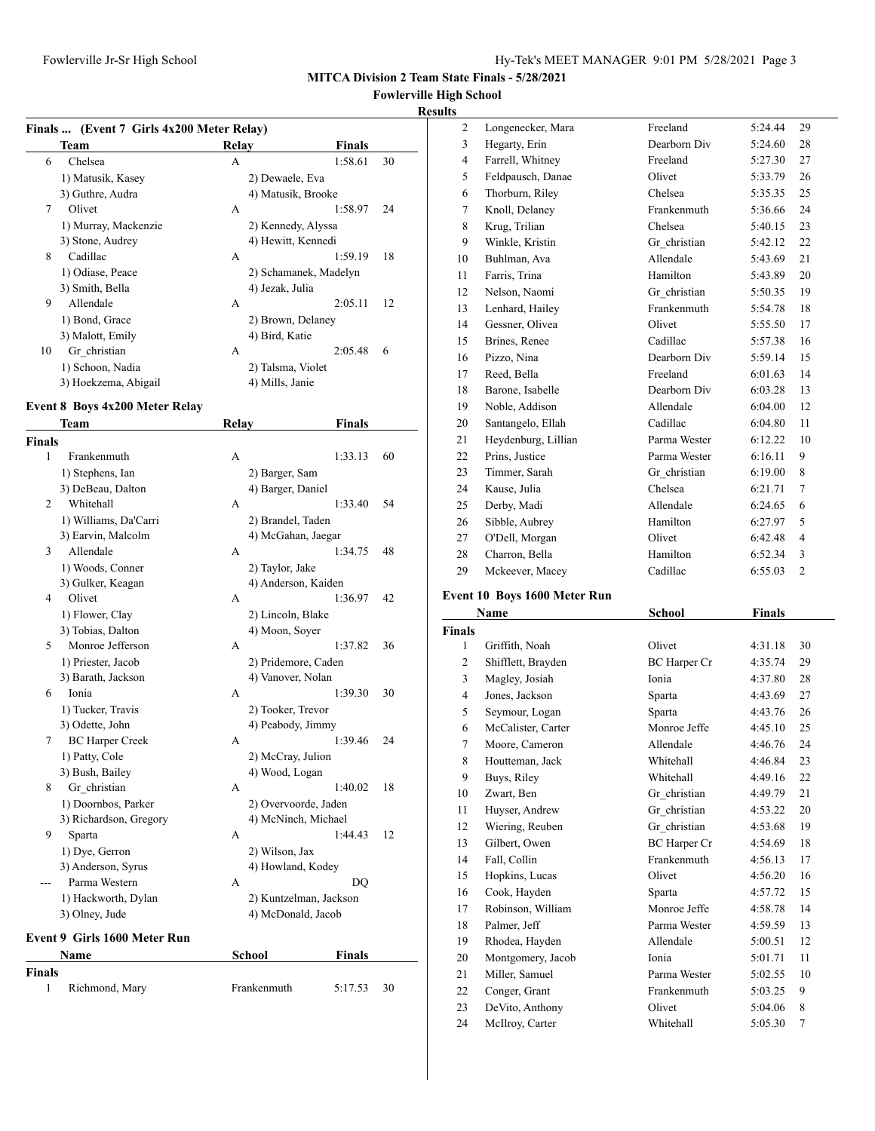## **Fowlerville High School**

#### **Results**

|  | Finals  (Event 7 Girls 4x200 Meter Relay) |
|--|-------------------------------------------|

|    | $\mathbf{u}$ mais $\mathbf{w}$ , $\mathbf{u}$ with $\mathbf{v}$ on $\mathbf{u}$ -A200 meter inclus |                    |                       |    |
|----|----------------------------------------------------------------------------------------------------|--------------------|-----------------------|----|
|    | Team                                                                                               | Relay              | Finals                |    |
| 6  | Chelsea                                                                                            | A                  | 1:58.61               | 30 |
|    | 1) Matusik, Kasey                                                                                  | 2) Dewaele, Eva    |                       |    |
|    | 3) Guthre, Audra                                                                                   | 4) Matusik, Brooke |                       |    |
| 7  | Olivet                                                                                             | A                  | 1:58.97               | 24 |
|    | 1) Murray, Mackenzie                                                                               | 2) Kennedy, Alyssa |                       |    |
|    | 3) Stone, Audrey                                                                                   | 4) Hewitt, Kennedi |                       |    |
| 8  | Cadillac                                                                                           | A                  | 1:59.19               | 18 |
|    | 1) Odiase, Peace                                                                                   |                    | 2) Schamanek, Madelyn |    |
|    | 3) Smith, Bella                                                                                    | 4) Jezak, Julia    |                       |    |
| 9  | Allendale                                                                                          | A                  | 2:05.11               | 12 |
|    | 1) Bond, Grace                                                                                     | 2) Brown, Delaney  |                       |    |
|    | 3) Malott, Emily                                                                                   | 4) Bird, Katie     |                       |    |
| 10 | Gr christian                                                                                       | А                  | 2:05.48               | 6  |
|    | 1) Schoon, Nadia                                                                                   | 2) Talsma, Violet  |                       |    |
|    | 3) Hoekzema, Abigail                                                                               | 4) Mills, Janie    |                       |    |
|    |                                                                                                    |                    |                       |    |

#### **Event 8 Boys 4x200 Meter Relay**

|               | <b>Team</b>                         | Relay |                        | <b>Finals</b> |    |
|---------------|-------------------------------------|-------|------------------------|---------------|----|
| <b>Finals</b> |                                     |       |                        |               |    |
| 1             | Frankenmuth                         | А     |                        | 1:33.13       | 60 |
|               | 1) Stephens, Ian                    |       | 2) Barger, Sam         |               |    |
|               | 3) DeBeau, Dalton                   |       | 4) Barger, Daniel      |               |    |
| 2             | Whitehall                           | A     |                        | 1:33.40       | 54 |
|               | 1) Williams, Da'Carri               |       | 2) Brandel, Taden      |               |    |
|               | 3) Earvin, Malcolm                  |       | 4) McGahan, Jaegar     |               |    |
| 3             | Allendale                           | A     |                        | 1:34.75       | 48 |
|               | 1) Woods, Conner                    |       | 2) Taylor, Jake        |               |    |
|               | 3) Gulker, Keagan                   |       | 4) Anderson, Kaiden    |               |    |
| 4             | Olivet                              | А     |                        | 1:36.97       | 42 |
|               | 1) Flower, Clay                     |       | 2) Lincoln, Blake      |               |    |
|               | 3) Tobias, Dalton                   |       | 4) Moon, Soyer         |               |    |
| 5             | Monroe Jefferson                    | A     |                        | 1:37.82       | 36 |
|               | 1) Priester, Jacob                  |       | 2) Pridemore, Caden    |               |    |
|               | 3) Barath, Jackson                  |       | 4) Vanover, Nolan      |               |    |
| 6             | Ionia                               | A     |                        | 1:39.30       | 30 |
|               | 1) Tucker, Travis                   |       | 2) Tooker, Trevor      |               |    |
|               | 3) Odette, John                     |       | 4) Peabody, Jimmy      |               |    |
| 7             | <b>BC</b> Harper Creek              | A     |                        | 1:39.46       | 24 |
|               | 1) Patty, Cole                      |       | 2) McCray, Julion      |               |    |
|               | 3) Bush, Bailey                     |       | 4) Wood, Logan         |               |    |
| 8             | Gr christian                        | A     |                        | 1:40.02       | 18 |
|               | 1) Doornbos, Parker                 |       | 2) Overvoorde, Jaden   |               |    |
|               | 3) Richardson, Gregory              |       | 4) McNinch, Michael    |               |    |
| 9             | Sparta                              | А     |                        | 1:44.43       | 12 |
|               | 1) Dye, Gerron                      |       | 2) Wilson, Jax         |               |    |
|               | 3) Anderson, Syrus                  |       | 4) Howland, Kodey      |               |    |
| ---           | Parma Western                       | А     |                        | DO            |    |
|               | 1) Hackworth, Dylan                 |       | 2) Kuntzelman, Jackson |               |    |
|               | 3) Olney, Jude                      |       | 4) McDonald, Jacob     |               |    |
|               | <b>Event 9 Girls 1600 Meter Run</b> |       |                        |               |    |
|               | Name                                |       | <b>School</b>          | Finals        |    |
| <b>Finals</b> |                                     |       |                        |               |    |
| 1             | Richmond, Mary                      |       | Frankenmuth            | 5:17.53       | 30 |

| 2              |                     | Freeland     | 5:24.44 | 29             |
|----------------|---------------------|--------------|---------|----------------|
|                | Longenecker, Mara   |              |         |                |
| 3              | Hegarty, Erin       | Dearborn Div | 5:24.60 | 28             |
| $\overline{4}$ | Farrell, Whitney    | Freeland     | 5:27.30 | 27             |
| 5              | Feldpausch, Danae   | Olivet       | 5:33.79 | 26             |
| 6              | Thorburn, Riley     | Chelsea      | 5:35.35 | 25             |
| 7              | Knoll, Delaney      | Frankenmuth  | 5:36.66 | 24             |
| 8              | Krug, Trilian       | Chelsea      | 5:40.15 | 23             |
| 9              | Winkle, Kristin     | Gr christian | 5:42.12 | 22             |
| 10             | Buhlman, Ava        | Allendale    | 5:43.69 | 21             |
| 11             | Farris, Trina       | Hamilton     | 5:43.89 | 20             |
| 12             | Nelson, Naomi       | Gr christian | 5:50.35 | 19             |
| 13             | Lenhard, Hailey     | Frankenmuth  | 5:54.78 | 18             |
| 14             | Gessner, Olivea     | Olivet       | 5:55.50 | 17             |
| 15             | Brines, Renee       | Cadillac     | 5:57.38 | 16             |
| 16             | Pizzo, Nina         | Dearborn Div | 5:59.14 | 15             |
| 17             | Reed, Bella         | Freeland     | 6:01.63 | 14             |
| 18             | Barone, Isabelle    | Dearborn Div | 6:03.28 | 13             |
| 19             | Noble, Addison      | Allendale    | 6:04.00 | 12             |
| 20             | Santangelo, Ellah   | Cadillac     | 6:04.80 | 11             |
| 21             | Heydenburg, Lillian | Parma Wester | 6:12.22 | 10             |
| 22             | Prins, Justice      | Parma Wester | 6:16.11 | 9              |
| 23             | Timmer, Sarah       | Gr christian | 6:19.00 | 8              |
| 24             | Kause, Julia        | Chelsea      | 6:21.71 | 7              |
| 25             | Derby, Madi         | Allendale    | 6:24.65 | 6              |
| 26             | Sibble, Aubrey      | Hamilton     | 6:27.97 | 5              |
| 27             | O'Dell, Morgan      | Olivet       | 6:42.48 | 4              |
| 28             | Charron, Bella      | Hamilton     | 6:52.34 | 3              |
| 29             | Mckeever, Macey     | Cadillac     | 6:55.03 | $\overline{2}$ |

#### **Event 10 Boys 1600 Meter Run**

|                | Name               | <b>School</b>       | Finals  |                |
|----------------|--------------------|---------------------|---------|----------------|
| <b>Finals</b>  |                    |                     |         |                |
| 1              | Griffith, Noah     | Olivet              | 4:31.18 | 30             |
| 2              | Shifflett, Brayden | BC Harper Cr        | 4:35.74 | 29             |
| 3              | Magley, Josiah     | Ionia               | 4:37.80 | 28             |
| $\overline{4}$ | Jones, Jackson     | Sparta              | 4:43.69 | 27             |
| 5              | Seymour, Logan     | Sparta              | 4:43.76 | 26             |
| 6              | McCalister, Carter | Monroe Jeffe        | 4:45.10 | 25             |
| 7              | Moore, Cameron     | Allendale           | 4:46.76 | 24             |
| 8              | Houtteman, Jack    | Whitehall           | 4:46.84 | 23             |
| 9              | Buys, Riley        | Whitehall           | 4:49.16 | 22             |
| 10             | Zwart, Ben         | Gr christian        | 4:49.79 | 21             |
| 11             | Huyser, Andrew     | Gr christian        | 4:53.22 | 20             |
| 12             | Wiering, Reuben    | Gr christian        | 4:53.68 | 19             |
| 13             | Gilbert, Owen      | <b>BC</b> Harper Cr | 4:54.69 | 18             |
| 14             | Fall, Collin       | Frankenmuth         | 4:56.13 | 17             |
| 15             | Hopkins, Lucas     | Olivet              | 4:56.20 | 16             |
| 16             | Cook, Hayden       | Sparta              | 4:57.72 | 15             |
| 17             | Robinson, William  | Monroe Jeffe        | 4:58.78 | 14             |
| 18             | Palmer, Jeff       | Parma Wester        | 4:59.59 | 13             |
| 19             | Rhodea, Hayden     | Allendale           | 5:00.51 | 12             |
| 20             | Montgomery, Jacob  | Ionia               | 5:01.71 | 11             |
| 21             | Miller, Samuel     | Parma Wester        | 5:02.55 | 10             |
| 22             | Conger, Grant      | Frankenmuth         | 5:03.25 | 9              |
| 23             | DeVito, Anthony    | Olivet              | 5:04.06 | 8              |
| 24             | McIlroy, Carter    | Whitehall           | 5:05.30 | $\overline{7}$ |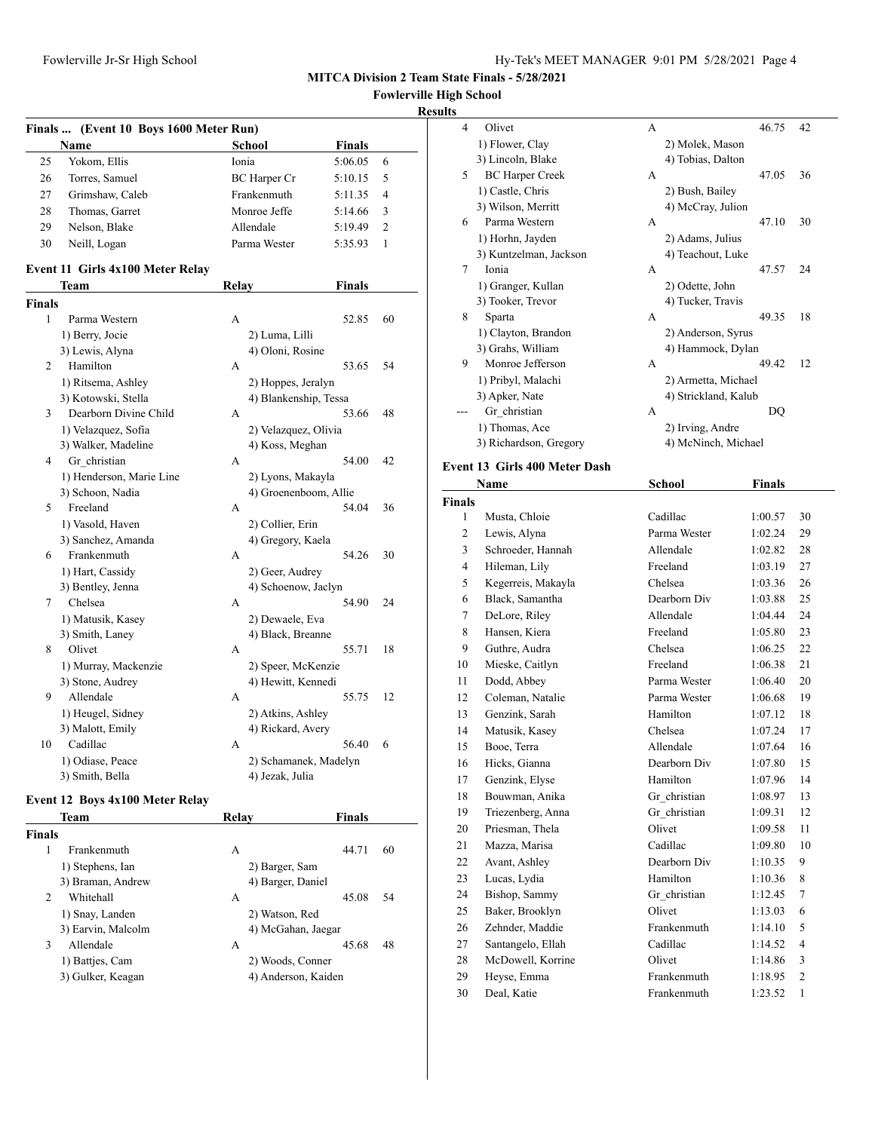**Fowlerville High School**

#### **Results**

|             | Finals  (Event 10 Boys 1600 Meter Run) |                       |               |                |
|-------------|----------------------------------------|-----------------------|---------------|----------------|
|             | Name                                   | <b>School</b>         | <b>Finals</b> |                |
| 25          | Yokom, Ellis                           | Ionia                 | 5:06.05       | 6              |
| 26          | Torres, Samuel                         | <b>BC</b> Harper Cr   | 5:10.15       | 5              |
| 27          | Grimshaw, Caleb                        | Frankenmuth           | 5:11.35       | 4              |
| 28          | Thomas, Garret                         | Monroe Jeffe          | 5:14.66       | 3              |
| 29          | Nelson, Blake                          | Allendale             | 5:19.49       | $\overline{c}$ |
| 30          | Neill, Logan                           | Parma Wester          | 5:35.93       | 1              |
|             |                                        |                       |               |                |
|             | Event 11 Girls 4x100 Meter Relay       |                       |               |                |
|             | Team                                   | Relay                 | <b>Finals</b> |                |
| Finals<br>1 | Parma Western                          |                       | 52.85         |                |
|             |                                        | А                     |               | 60             |
|             | 1) Berry, Jocie                        | 2) Luma, Lilli        |               |                |
|             | 3) Lewis, Alyna                        | 4) Oloni, Rosine      |               |                |
| 2           | Hamilton                               | А                     | 53.65         | 54             |
|             | 1) Ritsema, Ashley                     | 2) Hoppes, Jeralyn    |               |                |
|             | 3) Kotowski, Stella                    | 4) Blankenship, Tessa |               |                |
| 3           | Dearborn Divine Child                  | А                     | 53.66         | 48             |
|             | 1) Velazquez, Sofia                    | 2) Velazquez, Olivia  |               |                |
|             | 3) Walker, Madeline                    | 4) Koss, Meghan       |               |                |
| 4           | Gr_christian                           | А                     | 54.00         | 42             |
|             | 1) Henderson, Marie Line               | 2) Lyons, Makayla     |               |                |
|             | 3) Schoon, Nadia                       | 4) Groenenboom, Allie |               |                |
| 5           | Freeland                               | А                     | 54.04         | 36             |
|             | 1) Vasold, Haven                       | 2) Collier, Erin      |               |                |
|             | 3) Sanchez, Amanda                     | 4) Gregory, Kaela     |               |                |
| 6           | Frankenmuth                            | А                     | 54.26         | 30             |
|             | 1) Hart, Cassidy                       | 2) Geer, Audrey       |               |                |
|             | 3) Bentley, Jenna                      | 4) Schoenow, Jaclyn   |               |                |
| 7           | Chelsea                                | А                     | 54.90         | 24             |
|             | 1) Matusik, Kasey                      | 2) Dewaele, Eva       |               |                |
|             | 3) Smith, Laney                        | 4) Black, Breanne     |               |                |
| 8           | Olivet                                 | А                     | 55.71         | 18             |
|             | 1) Murray, Mackenzie                   | 2) Speer, McKenzie    |               |                |
|             | 3) Stone, Audrey                       | 4) Hewitt, Kennedi    |               |                |
| 9           | Allendale                              | А                     | 55.75         | 12             |
|             | 1) Heugel, Sidney                      | 2) Atkins, Ashley     |               |                |
|             | 3) Malott, Emily                       | 4) Rickard, Avery     |               |                |
| 10          | Cadillac                               | А                     | 56.40         | 6              |
|             | 1) Odiase, Peace                       | 2) Schamanek, Madelyn |               |                |
|             | 3) Smith, Bella                        | 4) Jezak, Julia       |               |                |
|             | Event 12 Boys 4x100 Meter Relay        |                       |               |                |
|             | Team                                   | Relay                 | Finals        |                |
| Finals      |                                        |                       |               |                |
| 1           | Frankenmuth                            | А                     | 44.71         | 60             |
|             | 1) Stephens, Ian                       | 2) Barger, Sam        |               |                |
|             | 3) Braman, Andrew                      | 4) Barger, Daniel     |               |                |
| 2           | Whitehall                              | А                     | 45.08         | 54             |
|             | 1) Snay, Landen                        | 2) Watson, Red        |               |                |
|             | 3) Earvin, Malcolm                     | 4) McGahan, Jaegar    |               |                |
| 3           | Allendale                              | А                     | 45.68         | 48             |
|             |                                        |                       |               |                |

2) Woods, Conner 4) Anderson, Kaiden

| Allendale         |  |
|-------------------|--|
| 1) Battjes, Cam   |  |
| 3) Gulker, Keagan |  |

| $\overline{\mathcal{A}}$ | Olivet                 | A | 46.75                | 42 |
|--------------------------|------------------------|---|----------------------|----|
|                          | 1) Flower, Clay        |   | 2) Molek, Mason      |    |
|                          | 3) Lincoln, Blake      |   | 4) Tobias, Dalton    |    |
| 5                        | <b>BC</b> Harper Creek | A | 47.05                | 36 |
|                          | 1) Castle, Chris       |   | 2) Bush, Bailey      |    |
|                          | 3) Wilson, Merritt     |   | 4) McCray, Julion    |    |
| 6                        | Parma Western          | A | 47.10                | 30 |
|                          | 1) Horhn, Jayden       |   | 2) Adams, Julius     |    |
|                          | 3) Kuntzelman, Jackson |   | 4) Teachout, Luke    |    |
| 7                        | Ionia                  | A | 47.57                | 24 |
|                          | 1) Granger, Kullan     |   | 2) Odette, John      |    |
|                          | 3) Tooker, Trevor      |   | 4) Tucker, Travis    |    |
| 8                        | Sparta                 | A | 49.35                | 18 |
|                          | 1) Clayton, Brandon    |   | 2) Anderson, Syrus   |    |
|                          | 3) Grahs, William      |   | 4) Hammock, Dylan    |    |
| 9                        | Monroe Jefferson       | A | 49.42                | 12 |
|                          | 1) Pribyl, Malachi     |   | 2) Armetta, Michael  |    |
|                          | 3) Apker, Nate         |   | 4) Strickland, Kalub |    |
|                          | Gr christian           | A | DO                   |    |
|                          | 1) Thomas, Ace         |   | 2) Irving, Andre     |    |
|                          | 3) Richardson, Gregory |   | 4) McNinch, Michael  |    |
|                          |                        |   |                      |    |

#### **Event 13 Girls 400 Meter Dash**

|                | Name               | <b>School</b> | <b>Finals</b> |                |
|----------------|--------------------|---------------|---------------|----------------|
| <b>Finals</b>  |                    |               |               |                |
| 1              | Musta, Chloie      | Cadillac      | 1:00.57       | 30             |
| $\overline{c}$ | Lewis, Alyna       | Parma Wester  | 1:02.24       | 29             |
| 3              | Schroeder, Hannah  | Allendale     | 1:02.82       | 28             |
| $\overline{4}$ | Hileman, Lily      | Freeland      | 1:03.19       | 27             |
| 5              | Kegerreis, Makayla | Chelsea       | 1:03.36       | 26             |
| 6              | Black, Samantha    | Dearborn Div  | 1:03.88       | 25             |
| 7              | DeLore, Riley      | Allendale     | 1:04.44       | 24             |
| 8              | Hansen, Kiera      | Freeland      | 1:05.80       | 23             |
| 9              | Guthre, Audra      | Chelsea       | 1:06.25       | 22             |
| 10             | Mieske, Caitlyn    | Freeland      | 1:06.38       | 21             |
| 11             | Dodd, Abbey        | Parma Wester  | 1:06.40       | 20             |
| 12             | Coleman, Natalie   | Parma Wester  | 1:06.68       | 19             |
| 13             | Genzink, Sarah     | Hamilton      | 1:07.12       | 18             |
| 14             | Matusik, Kasey     | Chelsea       | 1:07.24       | 17             |
| 15             | Booe, Terra        | Allendale     | 1:07.64       | 16             |
| 16             | Hicks, Gianna      | Dearborn Div  | 1:07.80       | 15             |
| 17             | Genzink, Elyse     | Hamilton      | 1:07.96       | 14             |
| 18             | Bouwman, Anika     | Gr christian  | 1:08.97       | 13             |
| 19             | Triezenberg, Anna  | Gr christian  | 1:09.31       | 12             |
| 20             | Priesman, Thela    | Olivet        | 1:09.58       | 11             |
| 21             | Mazza, Marisa      | Cadillac      | 1:09.80       | 10             |
| 22             | Avant, Ashley      | Dearborn Div  | 1:10.35       | 9              |
| 23             | Lucas, Lydia       | Hamilton      | 1:10.36       | 8              |
| 24             | Bishop, Sammy      | Gr christian  | 1:12.45       | $\tau$         |
| 25             | Baker, Brooklyn    | Olivet        | 1:13.03       | 6              |
| 26             | Zehnder, Maddie    | Frankenmuth   | 1:14.10       | 5              |
| 27             | Santangelo, Ellah  | Cadillac      | 1:14.52       | $\overline{4}$ |
| 28             | McDowell, Korrine  | Olivet        | 1:14.86       | 3              |
| 29             | Heyse, Emma        | Frankenmuth   | 1:18.95       | $\overline{c}$ |
| 30             | Deal, Katie        | Frankenmuth   | 1:23.52       | $\mathbf{1}$   |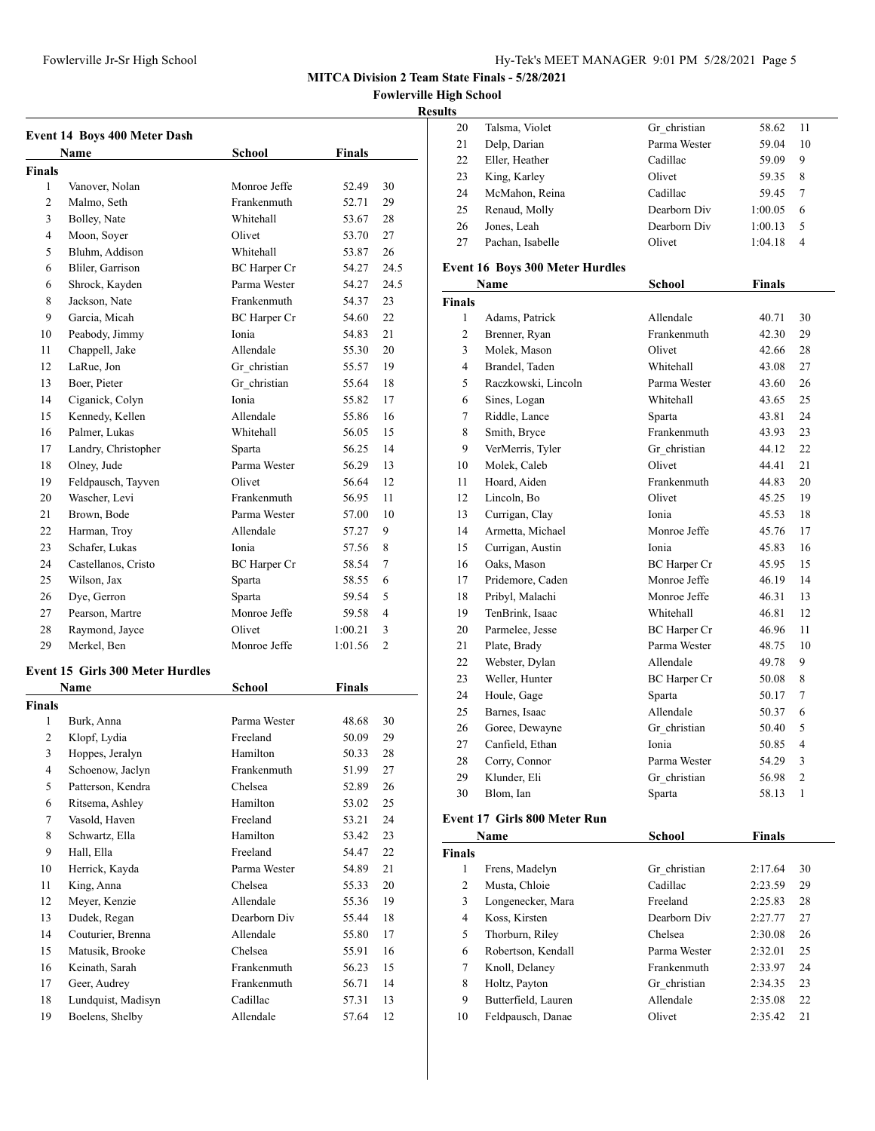**Event 14 Boys 400 Meter Dash**

**Name** 

1 Vanover, Nolan 2 Malmo, Seth 3 Bolley, Nate 4 Moon, Soyer

**Finals**

**MITCA Division 2 Team State Finals - 5/28/2021**

**Fowlerville High School**

#### **Results**

|                     |               |                | resuns         |                                     |               |               |                |
|---------------------|---------------|----------------|----------------|-------------------------------------|---------------|---------------|----------------|
|                     |               |                | 20             | Talsma, Violet                      | Gr christian  | 58.62         | 11             |
|                     |               |                | 21             | Delp, Darian                        | Parma Wester  | 59.04         | 10             |
| <b>School</b>       | <b>Finals</b> |                | 22             | Eller, Heather                      | Cadillac      | 59.09         | 9              |
|                     |               |                | 23             | King, Karley                        | Olivet        | 59.35         | 8              |
| Monroe Jeffe        | 52.49         | 30             | 24             | McMahon, Reina                      | Cadillac      | 59.45         | $\tau$         |
| Frankenmuth         | 52.71         | 29             | 25             | Renaud, Molly                       | Dearborn Div  | 1:00.05       | 6              |
| Whitehall           | 53.67         | 28             | 26             | Jones, Leah                         | Dearborn Div  | 1:00.13       | 5              |
| Olivet              | 53.70         | 27             | 27             | Pachan, Isabelle                    | Olivet        | 1:04.18       | 4              |
| Whitehall           | 53.87         | 26             |                |                                     |               |               |                |
| BC Harper Cr        | 54.27         | 24.5           |                | Event 16 Boys 300 Meter Hurdles     |               |               |                |
| Parma Wester        | 54.27         | 24.5           |                | Name                                | <b>School</b> | <b>Finals</b> |                |
| Frankenmuth         | 54.37         | 23             | <b>Finals</b>  |                                     |               |               |                |
| <b>BC</b> Harper Cr | 54.60         | 22             | $\mathbf{1}$   | Adams, Patrick                      | Allendale     | 40.71         | 30             |
| Ionia               | 54.83         | 21             | $\overline{c}$ | Brenner, Ryan                       | Frankenmuth   | 42.30         | 29             |
| Allendale           | 55.30         | 20             | 3              | Molek, Mason                        | Olivet        | 42.66         | 28             |
| Gr_christian        | 55.57         | 19             | 4              | Brandel, Taden                      | Whitehall     | 43.08         | 27             |
| Gr christian        | 55.64         | 18             | 5              | Raczkowski, Lincoln                 | Parma Wester  | 43.60         | 26             |
| Ionia               | 55.82         | 17             | 6              | Sines, Logan                        | Whitehall     | 43.65         | 25             |
| Allendale           | 55.86         | 16             | 7              | Riddle, Lance                       | Sparta        | 43.81         | 24             |
| Whitehall           | 56.05         | 15             | 8              | Smith, Bryce                        | Frankenmuth   | 43.93         | 23             |
| Sparta              | 56.25         | 14             | 9              | VerMerris, Tyler                    | Gr christian  | 44.12         | 22             |
| Parma Wester        | 56.29         | 13             | 10             | Molek, Caleb                        | Olivet        | 44.41         | 21             |
| Olivet              | 56.64         | 12             | 11             | Hoard, Aiden                        | Frankenmuth   | 44.83         | 20             |
| Frankenmuth         | 56.95         | 11             | 12             | Lincoln, Bo                         | Olivet        | 45.25         | 19             |
| Parma Wester        | 57.00         | 10             | 13             | Currigan, Clay                      | Ionia         | 45.53         | 18             |
| Allendale           | 57.27         | 9              | 14             | Armetta, Michael                    | Monroe Jeffe  | 45.76         | 17             |
| Ionia               | 57.56         | 8              | 15             | Currigan, Austin                    | Ionia         | 45.83         | 16             |
| <b>BC</b> Harper Cr | 58.54         | 7              | 16             | Oaks, Mason                         | BC Harper Cr  | 45.95         | 15             |
| Sparta              | 58.55         | 6              | 17             | Pridemore, Caden                    | Monroe Jeffe  | 46.19         | 14             |
| Sparta              | 59.54         | 5              | 18             | Pribyl, Malachi                     | Monroe Jeffe  | 46.31         | 13             |
| Monroe Jeffe        | 59.58         | $\overline{4}$ | 19             | TenBrink, Isaac                     | Whitehall     | 46.81         | 12             |
| Olivet              | 1:00.21       | 3              | 20             | Parmelee, Jesse                     | BC Harper Cr  | 46.96         | 11             |
| Monroe Jeffe        | 1:01.56       | 2              | 21             | Plate, Brady                        | Parma Wester  | 48.75         | 10             |
|                     |               |                | 22             | Webster, Dylan                      | Allendale     | 49.78         | 9              |
|                     |               |                | 23             | Weller, Hunter                      | BC Harper Cr  | 50.08         | 8              |
| <b>School</b>       | <b>Finals</b> |                | 24             | Houle, Gage                         | Sparta        | 50.17         | 7              |
| Parma Wester        |               |                | 25             | Barnes, Isaac                       | Allendale     | 50.37         | 6              |
|                     | 48.68         | 30<br>29       | 26             | Goree, Dewayne                      | Gr christian  | 50.40         | 5              |
| Freeland            | 50.09         |                | 27             | Canfield, Ethan                     | Ionia         | 50.85         | 4              |
| Hamilton            | 50.33         | $28\,$         | 28             | Corry, Connor                       | Parma Wester  | 54.29         | 3              |
| Frankenmuth         | 51.99         | 27             | 29             | Klunder, Eli                        | Gr christian  | 56.98         | $\overline{c}$ |
| Chelsea             | 52.89         | 26             | 30             | Blom, Ian                           | Sparta        | 58.13         | 1              |
| Hamilton            | 53.02         | 25             |                |                                     |               |               |                |
| Freeland            | 53.21         | 24             |                | <b>Event 17 Girls 800 Meter Run</b> |               |               |                |
| Hamilton            | 53.42         | 23             |                | Name                                | <b>School</b> | <b>Finals</b> |                |
| Freeland            | 54.47         | 22             | <b>Finals</b>  |                                     |               |               |                |
| Parma Wester        | 54.89         | 21             | $\mathbf{1}$   | Frens, Madelyn                      | Gr_christian  | 2:17.64       | 30             |
| Chelsea             | 55.33         | 20             | 2              | Musta, Chloie                       | Cadillac      | 2:23.59       | 29             |
| Allendale           | 55.36         | 19             | 3              | Longenecker, Mara                   | Freeland      | 2:25.83       | 28             |

| ıs |                  |              |         |     |  |
|----|------------------|--------------|---------|-----|--|
| 20 | Talsma, Violet   | Gr christian | 58.62   | -11 |  |
| 21 | Delp, Darian     | Parma Wester | 59.04   | 10  |  |
| 22 | Eller, Heather   | Cadillac     | 59.09   | 9   |  |
| 23 | King, Karley     | Olivet       | 59.35   | 8   |  |
| 24 | McMahon, Reina   | Cadillac     | 59.45   | 7   |  |
| 25 | Renaud, Molly    | Dearborn Div | 1:00.05 | 6   |  |
| 26 | Jones, Leah      | Dearborn Div | 1:00.13 | 5   |  |
| 27 | Pachan, Isabelle | Olivet       | 1:04.18 | 4   |  |

|                | Name                                | School              | <b>Finals</b> |        |
|----------------|-------------------------------------|---------------------|---------------|--------|
| inals          |                                     |                     |               |        |
| 1              | Adams, Patrick                      | Allendale           | 40.71         | 30     |
| $\overline{c}$ | Brenner, Ryan                       | Frankenmuth         | 42.30         | 29     |
| 3              | Molek, Mason                        | Olivet              | 42.66         | 28     |
| $\overline{4}$ | Brandel, Taden                      | Whitehall           | 43.08         | 27     |
| 5              | Raczkowski, Lincoln                 | Parma Wester        | 43.60         | 26     |
| 6              | Sines, Logan                        | Whitehall           | 43.65         | 25     |
| 7              | Riddle, Lance                       | Sparta              | 43.81         | 24     |
| 8              | Smith, Bryce                        | Frankenmuth         | 43.93         | 23     |
| 9              | VerMerris, Tyler                    | Gr christian        | 44.12         | 22     |
| 10             | Molek, Caleb                        | Olivet              | 44.41         | 21     |
| 11             | Hoard, Aiden                        | Frankenmuth         | 44.83         | 20     |
| 12             | Lincoln, Bo                         | Olivet              | 45.25         | 19     |
| 13             | Currigan, Clay                      | Ionia               | 45.53         | 18     |
| 14             | Armetta, Michael                    | Monroe Jeffe        | 45.76         | 17     |
| 15             | Currigan, Austin                    | Ionia               | 45.83         | 16     |
| 16             | Oaks, Mason                         | <b>BC</b> Harper Cr | 45.95         | 15     |
| 17             | Pridemore, Caden                    | Monroe Jeffe        | 46.19         | 14     |
| 18             | Pribyl, Malachi                     | Monroe Jeffe        | 46.31         | 13     |
| 19             | TenBrink, Isaac                     | Whitehall           | 46.81         | 12     |
| 20             | Parmelee, Jesse                     | <b>BC</b> Harper Cr | 46.96         | 11     |
| 21             | Plate, Brady                        | Parma Wester        | 48.75         | 10     |
| 22             | Webster, Dylan                      | Allendale           | 49.78         | 9      |
| 23             | Weller, Hunter                      | <b>BC</b> Harper Cr | 50.08         | 8      |
| 24             | Houle, Gage                         | Sparta              | 50.17         | $\tau$ |
| 25             | Barnes, Isaac                       | Allendale           | 50.37         | 6      |
| 26             | Goree, Dewayne                      | Gr christian        | 50.40         | 5      |
| 27             | Canfield, Ethan                     | Ionia               | 50.85         | 4      |
| 28             | Corry, Connor                       | Parma Wester        | 54.29         | 3      |
| 29             | Klunder, Eli                        | Gr christian        | 56.98         | 2      |
| 30             | Blom, Ian                           | Sparta              | 58.13         | 1      |
|                | <b>Event 17 Girls 800 Meter Run</b> |                     |               |        |
|                | <b>Name</b>                         | School              | <b>Finals</b> |        |
| `inals         |                                     |                     |               |        |
| 1              | Frens, Madelyn                      | Gr christian        | 2:17.64       | 30     |

 Koss, Kirsten Dearborn Div 2:27.77 27 Thorburn, Riley Chelsea 2:30.08 26 Robertson, Kendall Parma Wester 2:32.01 25 Knoll, Delaney Frankenmuth 2:33.97 24 8 Holtz, Payton Gr\_christian 2:34.35 23 Butterfield, Lauren Allendale 2:35.08 22 Feldpausch, Danae Olivet 2:35.42 21

| 5              | Bluhm, Addison                        | Whitehall           | 53.87   | 26             |
|----------------|---------------------------------------|---------------------|---------|----------------|
| 6              | Bliler, Garrison                      | <b>BC</b> Harper Cr | 54.27   | 24.5           |
| 6              | Shrock, Kayden                        | Parma Wester        | 54.27   | 24.5           |
| 8              | Jackson, Nate                         | Frankenmuth         | 54.37   | 23             |
| 9              | Garcia, Micah                         | BC Harper Cr        | 54.60   | 22             |
| 10             | Peabody, Jimmy                        | Ionia               | 54.83   | 21             |
| 11             | Chappell, Jake                        | Allendale           | 55.30   | 20             |
| 12             | LaRue, Jon                            | Gr christian        | 55.57   | 19             |
| 13             | Boer, Pieter                          | Gr christian        | 55.64   | 18             |
| 14             | Ciganick, Colyn                       | Ionia               | 55.82   | 17             |
| 15             | Kennedy, Kellen                       | Allendale           | 55.86   | 16             |
| 16             | Palmer, Lukas                         | Whitehall           | 56.05   | 15             |
| 17             | Landry, Christopher                   | Sparta              | 56.25   | 14             |
| 18             | Olney, Jude                           | Parma Wester        | 56.29   | 13             |
| 19             | Feldpausch, Tayven                    | Olivet              | 56.64   | 12             |
| 20             | Wascher, Levi                         | Frankenmuth         | 56.95   | 11             |
| 21             | Brown, Bode                           | Parma Wester        | 57.00   | 10             |
| 22             | Harman, Troy                          | Allendale           | 57.27   | 9              |
| 23             | Schafer, Lukas                        | Ionia               | 57.56   | 8              |
| 24             | Castellanos, Cristo                   | <b>BC</b> Harper Cr | 58.54   | 7              |
| 25             | Wilson, Jax                           | Sparta              | 58.55   | 6              |
| 26             | Dye, Gerron                           | Sparta              | 59.54   | 5              |
| 27             | Pearson, Martre                       | Monroe Jeffe        | 59.58   | $\overline{4}$ |
| 28             | Raymond, Jayce                        | Olivet              | 1:00.21 | 3              |
| 29             | Merkel, Ben                           | Monroe Jeffe        | 1:01.56 | 2              |
|                | Event 15 Girls 300 Meter Hurdles      |                     |         |                |
|                | Name                                  | School              | Finals  |                |
| Finals         |                                       |                     |         |                |
| 1              | Burk, Anna                            | Parma Wester        | 48.68   | 30             |
| 2              |                                       |                     |         |                |
|                |                                       | Freeland            | 50.09   | 29             |
| 3              | Klopf, Lydia                          | Hamilton            | 50.33   | 28             |
| $\overline{4}$ | Hoppes, Jeralyn                       | Frankenmuth         | 51.99   | 27             |
| 5              | Schoenow, Jaclyn<br>Patterson, Kendra | Chelsea             | 52.89   | 26             |
| 6              | Ritsema, Ashley                       | Hamilton            | 53.02   | 25             |
| 7              | Vasold, Haven                         | Freeland            | 53.21   | 24             |
| 8              | Schwartz, Ella                        | Hamilton            | 53.42   | 23             |
| 9              | Hall, Ella                            | Freeland            | 54.47   | 22             |
| 10             | Herrick, Kayda                        | Parma Wester        | 54.89   | 21             |
| 11             | King, Anna                            | Chelsea             | 55.33   | 20             |
| 12             | Meyer, Kenzie                         | Allendale           | 55.36   | 19             |
| 13             | Dudek, Regan                          | Dearborn Div        | 55.44   | 18             |
| 14             | Couturier, Brenna                     | Allendale           | 55.80   | 17             |
| 15             | Matusik, Brooke                       | Chelsea             | 55.91   | 16             |
| 16             | Keinath, Sarah                        | Frankenmuth         | 56.23   | 15             |
| 17             | Geer, Audrey                          | Frankenmuth         | 56.71   | 14             |

19 Boelens, Shelby Allendale 57.64 12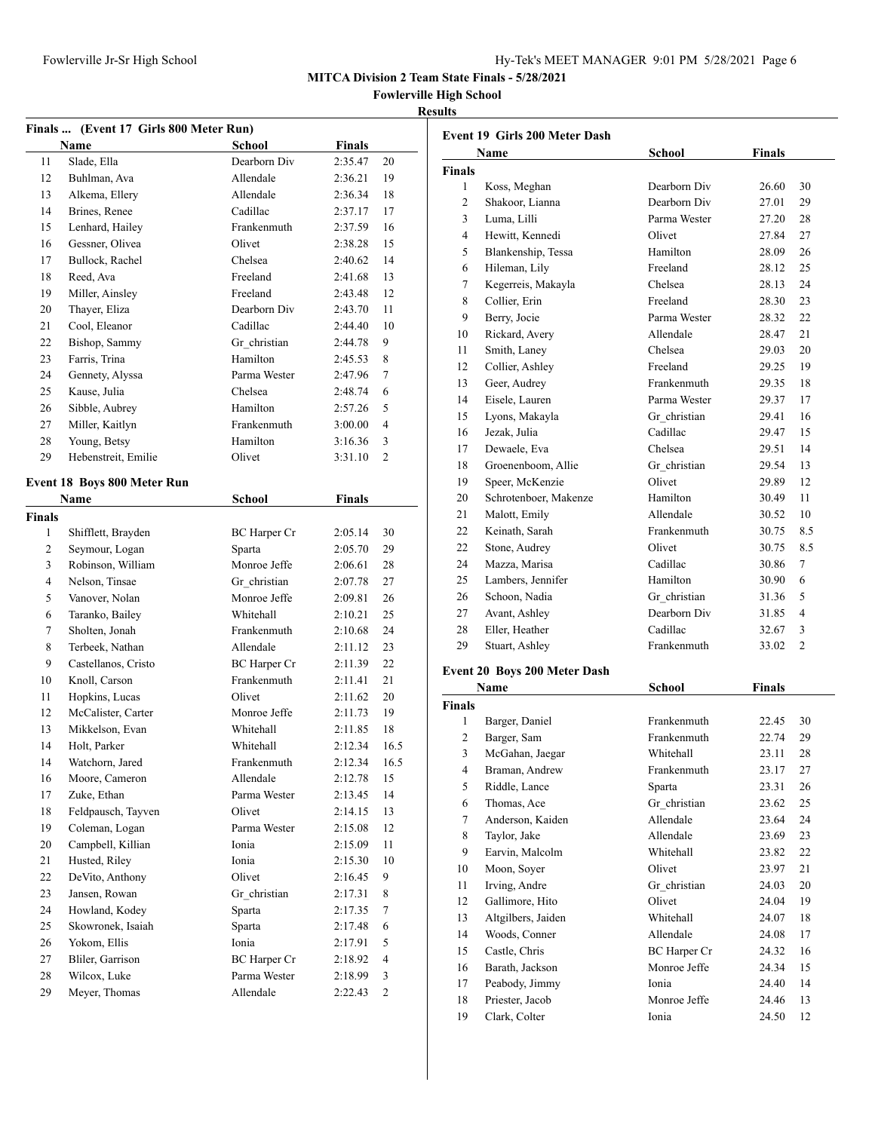| Hy-Tek's MEET MANAGER 9:01 PM 5/28/2021 Page 6 |  |  |  |
|------------------------------------------------|--|--|--|
|------------------------------------------------|--|--|--|

**Fowlerville High School**

#### **Results**

|               | Finals  (Event 17 Girls 800 Meter Run) |                     |               |                  |
|---------------|----------------------------------------|---------------------|---------------|------------------|
|               | Name                                   | School              | <b>Finals</b> |                  |
| 11            | Slade, Ella                            | Dearborn Div        | 2:35.47       | 20               |
| 12            | Buhlman, Ava                           | Allendale           | 2:36.21       | 19               |
| 13            | Alkema, Ellery                         | Allendale           | 2:36.34       | 18               |
| 14            | Brines, Renee                          | Cadillac            | 2:37.17       | 17               |
| 15            | Lenhard, Hailey                        | Frankenmuth         | 2:37.59       | 16               |
| 16            | Gessner, Olivea                        | Olivet              | 2:38.28       | 15               |
| 17            | Bullock, Rachel                        | Chelsea             | 2:40.62       | 14               |
| 18            | Reed, Ava                              | Freeland            | 2:41.68       | 13               |
| 19            | Miller, Ainsley                        | Freeland            | 2:43.48       | 12               |
| 20            | Thayer, Eliza                          | Dearborn Div        | 2:43.70       | 11               |
| 21            | Cool. Eleanor                          | Cadillac            | 2:44.40       | 10               |
| 22            | Bishop, Sammy                          | Gr christian        | 2:44.78       | 9                |
| 23            | Farris, Trina                          | Hamilton            | 2:45.53       | 8                |
| 24            | Gennety, Alyssa                        | Parma Wester        | 2:47.96       | 7                |
| 25            | Kause, Julia                           | Chelsea             | 2:48.74       | 6                |
| 26            | Sibble, Aubrey                         | Hamilton            | 2:57.26       | 5                |
| 27            | Miller, Kaitlyn                        | Frankenmuth         | 3:00.00       | 4                |
| 28            | Young, Betsy                           | Hamilton            | 3:16.36       | 3                |
| 29            | Hebenstreit, Emilie                    | Olivet              | 3:31.10       | $\overline{c}$   |
|               |                                        |                     |               |                  |
|               | Event 18 Boys 800 Meter Run            |                     |               |                  |
|               | Name                                   | School              | <b>Finals</b> |                  |
| <b>Finals</b> |                                        |                     |               |                  |
| 1             | Shifflett, Brayden                     | <b>BC</b> Harper Cr | 2:05.14       | 30               |
| 2             | Seymour, Logan                         | Sparta              | 2:05.70       | 29               |
| 3             | Robinson, William                      | Monroe Jeffe        | 2:06.61       | 28               |
| 4             | Nelson, Tinsae                         | Gr christian        | 2:07.78       | 27               |
| 5             | Vanover, Nolan                         | Monroe Jeffe        | 2:09.81       | 26               |
| 6             | Taranko, Bailey                        | Whitehall           | 2:10.21       | 25               |
| 7             | Sholten, Jonah                         | Frankenmuth         | 2:10.68       | 24               |
| 8             | Terbeek, Nathan                        | Allendale           | 2:11.12       | 23               |
| 9             | Castellanos, Cristo                    | <b>BC</b> Harper Cr | 2:11.39       | 22               |
| 10            | Knoll, Carson                          | Frankenmuth         | 2:11.41       | 21               |
| 11            | Hopkins, Lucas                         | Olivet              | 2:11.62       | 20               |
| 12            | McCalister, Carter                     | Monroe Jeffe        | 2:11.73       | 19               |
| 13            | Mikkelson, Evan                        | Whitehall           | 2:11.85       | 18               |
| 14            | Holt, Parker                           | <b>Whitehall</b>    | 2:12.34       | 16.5             |
| 14            | Watchorn, Jared                        | Frankenmuth         | 2:12.34       | 16.5             |
| 16            | Moore, Cameron                         | Allendale           | 2:12.78       | 15               |
| 17            | Zuke, Ethan                            | Parma Wester        | 2:13.45       | 14               |
| 18            | Feldpausch, Tayven                     | Olivet              | 2:14.15       | 13               |
| 19            | Coleman, Logan                         | Parma Wester        | 2:15.08       | 12               |
| 20            | Campbell, Killian                      | Ionia               | 2:15.09       | 11               |
| 21            | Husted, Riley                          | Ionia               | 2:15.30       | 10               |
| $22\,$        | DeVito, Anthony                        | Olivet              | 2:16.45       | 9                |
| 23            | Jansen, Rowan                          | Gr christian        | 2:17.31       | 8                |
| 24            | Howland, Kodey                         | Sparta              | 2:17.35       | $\boldsymbol{7}$ |
| 25            | Skowronek, Isaiah                      | Sparta              | 2:17.48       | 6                |
| 26            | Yokom, Ellis                           | Ionia               | 2:17.91       | 5                |
| 27            | Bliler, Garrison                       | <b>BC</b> Harper Cr | 2:18.92       | 4                |
| 28            | Wilcox, Luke                           | Parma Wester        | 2:18.99       | 3                |
| 29            | Meyer, Thomas                          | Allendale           | 2:22.43       | $\mathbf{2}$     |
|               |                                        |                     |               |                  |

|                | Name                  | <b>School</b> | <b>Finals</b> |                |
|----------------|-----------------------|---------------|---------------|----------------|
| <b>Finals</b>  |                       |               |               |                |
| 1              | Koss, Meghan          | Dearborn Div  | 26.60         | 30             |
| $\overline{c}$ | Shakoor, Lianna       | Dearborn Div  | 27.01         | 29             |
| 3              | Luma, Lilli           | Parma Wester  | 27.20         | 28             |
| $\overline{4}$ | Hewitt, Kennedi       | Olivet        | 27.84         | 27             |
| 5              | Blankenship, Tessa    | Hamilton      | 28.09         | 26             |
| 6              | Hileman, Lily         | Freeland      | 28.12         | 25             |
| $\tau$         | Kegerreis, Makayla    | Chelsea       | 28.13         | 24             |
| 8              | Collier, Erin         | Freeland      | 28.30         | 23             |
| 9              | Berry, Jocie          | Parma Wester  | 28.32         | 22             |
| 10             | Rickard, Avery        | Allendale     | 28.47         | 21             |
| 11             | Smith, Laney          | Chelsea       | 29.03         | 20             |
| 12             | Collier, Ashley       | Freeland      | 29.25         | 19             |
| 13             | Geer, Audrey          | Frankenmuth   | 29.35         | 18             |
| 14             | Eisele, Lauren        | Parma Wester  | 29.37         | 17             |
| 15             | Lyons, Makayla        | Gr christian  | 29.41         | 16             |
| 16             | Jezak, Julia          | Cadillac      | 29.47         | 15             |
| 17             | Dewaele, Eva          | Chelsea       | 29.51         | 14             |
| 18             | Groenenboom, Allie    | Gr christian  | 29.54         | 13             |
| 19             | Speer, McKenzie       | Olivet        | 29.89         | 12             |
| 20             | Schrotenboer, Makenze | Hamilton      | 30.49         | 11             |
| 21             | Malott, Emily         | Allendale     | 30.52         | 10             |
| 22             | Keinath, Sarah        | Frankenmuth   | 30.75         | 8.5            |
| 22             | Stone, Audrey         | Olivet        | 30.75         | 8.5            |
| 24             | Mazza, Marisa         | Cadillac      | 30.86         | $\overline{7}$ |
| 25             | Lambers, Jennifer     | Hamilton      | 30.90         | 6              |
| 26             | Schoon, Nadia         | Gr christian  | 31.36         | 5              |
| 27             | Avant, Ashley         | Dearborn Div  | 31.85         | 4              |
| 28             | Eller, Heather        | Cadillac      | 32.67         | 3              |
| 29             | Stuart, Ashley        | Frankenmuth   | 33.02         | $\overline{2}$ |

# Event 20 Boys 200 Meter Das

|                | Name               | School       | Finals |    |
|----------------|--------------------|--------------|--------|----|
| <b>Finals</b>  |                    |              |        |    |
| 1              | Barger, Daniel     | Frankenmuth  | 22.45  | 30 |
| 2              | Barger, Sam        | Frankenmuth  | 22.74  | 29 |
| 3              | McGahan, Jaegar    | Whitehall    | 23.11  | 28 |
| $\overline{4}$ | Braman, Andrew     | Frankenmuth  | 23.17  | 27 |
| 5              | Riddle, Lance      | Sparta       | 23.31  | 26 |
| 6              | Thomas, Ace        | Gr_christian | 23.62  | 25 |
| 7              | Anderson, Kaiden   | Allendale    | 23.64  | 24 |
| 8              | Taylor, Jake       | Allendale    | 23.69  | 23 |
| 9              | Earvin, Malcolm    | Whitehall    | 23.82  | 22 |
| 10             | Moon, Soyer        | Olivet       | 23.97  | 21 |
| 11             | Irving, Andre      | Gr christian | 24.03  | 20 |
| 12             | Gallimore, Hito    | Olivet       | 24.04  | 19 |
| 13             | Altgilbers, Jaiden | Whitehall    | 24.07  | 18 |
| 14             | Woods, Conner      | Allendale    | 24.08  | 17 |
| 15             | Castle, Chris      | BC Harper Cr | 24.32  | 16 |
| 16             | Barath, Jackson    | Monroe Jeffe | 24.34  | 15 |
| 17             | Peabody, Jimmy     | Ionia        | 24.40  | 14 |
| 18             | Priester, Jacob    | Monroe Jeffe | 24.46  | 13 |
| 19             | Clark, Colter      | Ionia        | 24.50  | 12 |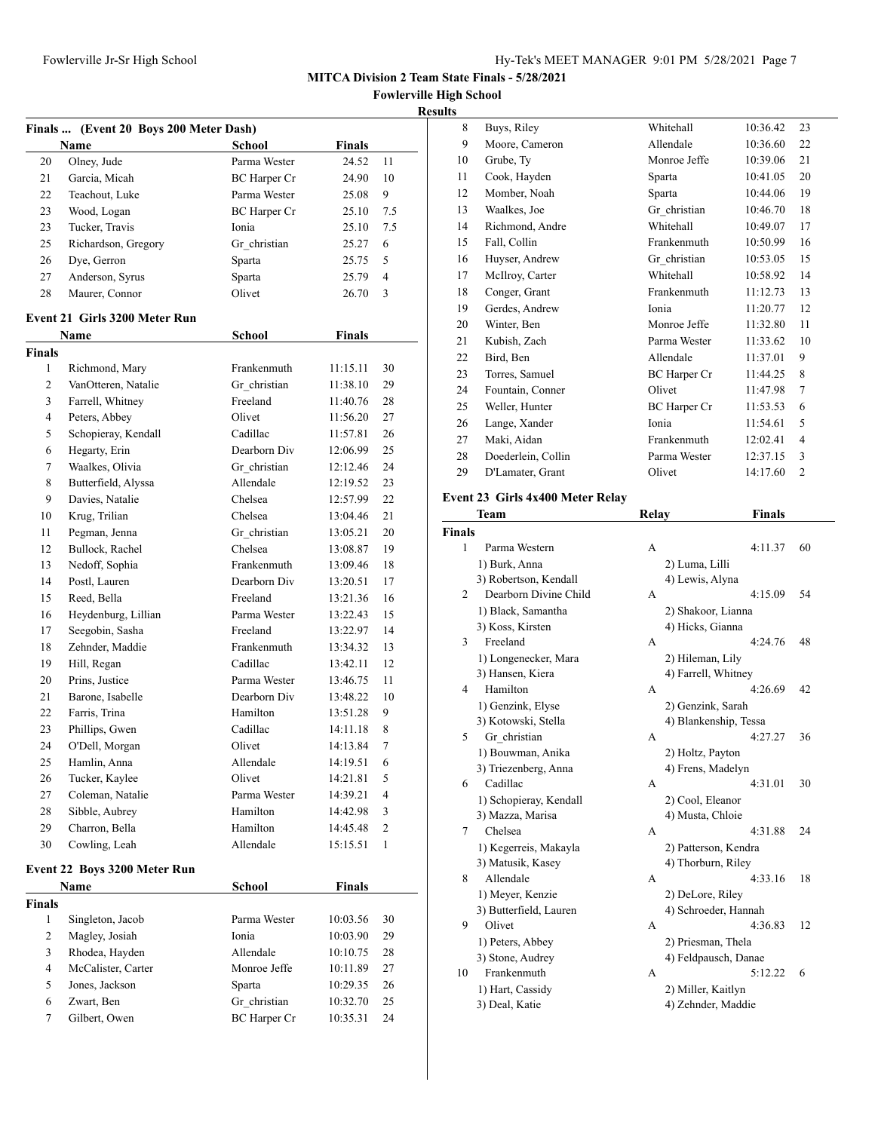**Fowlerville High School**

| <b>Results</b> |  |
|----------------|--|

| Finals  (Event 20 Boys 200 Meter Dash) |                               |                     |               |                |
|----------------------------------------|-------------------------------|---------------------|---------------|----------------|
|                                        | Name                          | School              | Finals        |                |
| 20                                     | Olney, Jude                   | Parma Wester        | 24.52         | 11             |
| 21                                     | Garcia, Micah                 | <b>BC</b> Harper Cr | 24.90         | 10             |
| 22                                     | Teachout, Luke                | Parma Wester        | 25.08         | 9              |
| 23                                     | Wood, Logan                   | <b>BC</b> Harper Cr | 25.10         | 7.5            |
| 23                                     | Tucker, Travis                | Ionia               | 25.10         | 7.5            |
| 25                                     | Richardson, Gregory           | Gr christian        | 25.27         | 6              |
| 26                                     | Dye, Gerron                   | Sparta              | 25.75         | 5              |
| 27                                     | Anderson, Syrus               | Sparta              | 25.79         | $\overline{4}$ |
| 28                                     | Maurer, Connor                | Olivet              | 26.70         | 3              |
|                                        |                               |                     |               |                |
|                                        | Event 21 Girls 3200 Meter Run |                     |               |                |
|                                        | Name                          | School              | <b>Finals</b> |                |
| <b>Finals</b>                          |                               |                     |               |                |
| 1                                      | Richmond, Mary                | Frankenmuth         | 11:15.11      | 30             |
| 2                                      | VanOtteren, Natalie           | Gr christian        | 11:38.10      | 29             |
| 3                                      | Farrell, Whitney              | Freeland            | 11:40.76      | 28             |
| $\overline{4}$                         | Peters, Abbey                 | Olivet              | 11:56.20      | 27             |
| 5                                      | Schopieray, Kendall           | Cadillac            | 11:57.81      | 26             |
| 6                                      | Hegarty, Erin                 | Dearborn Div        | 12:06.99      | 25             |
| 7                                      | Waalkes, Olivia               | Gr christian        | 12:12.46      | 24             |
| 8                                      | Butterfield, Alyssa           | Allendale           | 12:19.52      | 23             |
| 9                                      | Davies, Natalie               | Chelsea             | 12:57.99      | 22             |
| 10                                     | Krug, Trilian                 | Chelsea             | 13:04.46      | 21             |
| 11                                     | Pegman, Jenna                 | Gr christian        | 13:05.21      | 20             |
| 12                                     | Bullock, Rachel               | Chelsea             | 13:08.87      | 19             |
| 13                                     | Nedoff, Sophia                | Frankenmuth         | 13:09.46      | 18             |
| 14                                     | Postl, Lauren                 | Dearborn Div        | 13:20.51      | 17             |
| 15                                     | Reed, Bella                   | Freeland            | 13:21.36      | 16             |
| 16                                     | Heydenburg, Lillian           | Parma Wester        | 13:22.43      | 15             |
| 17                                     | Seegobin, Sasha               | Freeland            | 13:22.97      | 14             |
| 18                                     | Zehnder, Maddie               | Frankenmuth         | 13:34.32      | 13             |
| 19                                     | Hill, Regan                   | Cadillac            | 13:42.11      | 12             |
| 20                                     | Prins, Justice                | Parma Wester        | 13:46.75      | 11             |
| 21                                     | Barone, Isabelle              | Dearborn Div        | 13:48.22      | 10             |
| 22                                     | Farris, Trina                 | Hamilton            | 13:51.28      | 9              |
| 23                                     | Phillips, Gwen                | Cadillac            | 14:11.18      | 8              |
| 24                                     | O'Dell, Morgan                | Olivet              | 14:13.84      | 7              |
| 25                                     | Hamlin, Anna                  | Allendale           | 14:19.51      | 6              |
| 26                                     | Tucker, Kaylee                | Olivet              | 14:21.81      | 5              |
| 27                                     | Coleman, Natalie              | Parma Wester        | 14:39.21      | 4              |
| 28                                     | Sibble, Aubrey                | Hamilton            | 14:42.98      | 3              |
| 29                                     | Charron, Bella                | Hamilton            | 14:45.48      | 2              |
| 30                                     | Cowling, Leah                 | Allendale           | 15:15.51      | 1              |
|                                        |                               |                     |               |                |
|                                        | Event 22 Boys 3200 Meter Run  |                     |               |                |
|                                        | Name                          | <b>School</b>       | <b>Finals</b> |                |
| <b>Finals</b>                          |                               |                     |               |                |
| 1                                      | Singleton, Jacob              | Parma Wester        | 10:03.56      | 30             |
| 2                                      | Magley, Josiah                | Ionia               | 10:03.90      | 29             |
| 3                                      | Rhodea, Hayden                | Allendale           | 10:10.75      | 28             |
| 4                                      | McCalister, Carter            | Monroe Jeffe        | 10:11.89      | 27             |
| 5                                      | Jones, Jackson                | Sparta              | 10:29.35      | 26             |
| 6                                      | Zwart, Ben                    | Gr_christian        | 10:32.70      | 25             |
| $\tau$                                 | Gilbert, Owen                 | <b>BC</b> Harper Cr | 10:35.31      | 24             |

| ĽS |                    |                     |          |                |
|----|--------------------|---------------------|----------|----------------|
| 8  | Buys, Riley        | Whitehall           | 10:36.42 | 23             |
| 9  | Moore, Cameron     | Allendale           | 10:36.60 | 22             |
| 10 | Grube, Ty          | Monroe Jeffe        | 10:39.06 | 21             |
| 11 | Cook, Hayden       | Sparta              | 10:41.05 | 20             |
| 12 | Momber, Noah       | Sparta              | 10:44.06 | 19             |
| 13 | Waalkes, Joe       | Gr christian        | 10:46.70 | 18             |
| 14 | Richmond, Andre    | Whitehall           | 10:49.07 | 17             |
| 15 | Fall, Collin       | Frankenmuth         | 10:50.99 | 16             |
| 16 | Huyser, Andrew     | Gr christian        | 10:53.05 | 15             |
| 17 | McIlroy, Carter    | Whitehall           | 10:58.92 | 14             |
| 18 | Conger, Grant      | Frankenmuth         | 11:12.73 | 13             |
| 19 | Gerdes, Andrew     | Ionia               | 11:20.77 | 12             |
| 20 | Winter, Ben        | Monroe Jeffe        | 11:32.80 | 11             |
| 21 | Kubish, Zach       | Parma Wester        | 11:33.62 | 10             |
| 22 | Bird, Ben          | Allendale           | 11:37.01 | 9              |
| 23 | Torres, Samuel     | <b>BC</b> Harper Cr | 11:44.25 | 8              |
| 24 | Fountain, Conner   | Olivet              | 11:47.98 | 7              |
| 25 | Weller, Hunter     | <b>BC</b> Harper Cr | 11:53.53 | 6              |
| 26 | Lange, Xander      | Ionia               | 11:54.61 | 5              |
| 27 | Maki, Aidan        | Frankenmuth         | 12:02.41 | 4              |
| 28 | Doederlein, Collin | Parma Wester        | 12:37.15 | 3              |
| 29 | D'Lamater, Grant   | Olivet              | 14:17.60 | $\overline{2}$ |
|    |                    |                     |          |                |

#### **Event 23 Girls 4x400 Meter Relay**

|               | Team                   | Relay | <b>Finals</b>         |    |
|---------------|------------------------|-------|-----------------------|----|
| <b>Finals</b> |                        |       |                       |    |
| 1             | Parma Western          | А     | 4:11.37               | 60 |
|               | 1) Burk, Anna          |       | 2) Luma, Lilli        |    |
|               | 3) Robertson, Kendall  |       | 4) Lewis, Alyna       |    |
| 2             | Dearborn Divine Child  | А     | 4:15.09               | 54 |
|               | 1) Black, Samantha     |       | 2) Shakoor, Lianna    |    |
|               | 3) Koss, Kirsten       |       | 4) Hicks, Gianna      |    |
| 3             | Freeland               | А     | 4:24.76               | 48 |
|               | 1) Longenecker, Mara   |       | 2) Hileman, Lily      |    |
|               | 3) Hansen, Kiera       |       | 4) Farrell, Whitney   |    |
| 4             | Hamilton               | А     | 4:26.69               | 42 |
|               | 1) Genzink, Elyse      |       | 2) Genzink, Sarah     |    |
|               | 3) Kotowski, Stella    |       | 4) Blankenship, Tessa |    |
| 5.            | Gr christian           | A     | 4:27.27               | 36 |
|               | 1) Bouwman, Anika      |       | 2) Holtz, Payton      |    |
|               | 3) Triezenberg, Anna   |       | 4) Frens, Madelyn     |    |
| 6             | Cadillac               | A     | 4:31.01               | 30 |
|               | 1) Schopieray, Kendall |       | 2) Cool, Eleanor      |    |
|               | 3) Mazza, Marisa       |       | 4) Musta, Chloie      |    |
| 7             | Chelsea                | А     | 4:31.88               | 24 |
|               | 1) Kegerreis, Makayla  |       | 2) Patterson, Kendra  |    |
|               | 3) Matusik, Kasey      |       | 4) Thorburn, Riley    |    |
| 8             | Allendale              | А     | 4:33.16               | 18 |
|               | 1) Meyer, Kenzie       |       | 2) DeLore, Riley      |    |
|               | 3) Butterfield, Lauren |       | 4) Schroeder, Hannah  |    |
| 9             | Olivet                 | A     | 4:36.83               | 12 |
|               | 1) Peters, Abbey       |       | 2) Priesman, Thela    |    |
|               | 3) Stone, Audrey       |       | 4) Feldpausch, Danae  |    |
| 10            | Frankenmuth            | А     | 5:12.22               | 6  |
|               | 1) Hart, Cassidy       |       | 2) Miller, Kaitlyn    |    |
|               | 3) Deal, Katie         |       | 4) Zehnder, Maddie    |    |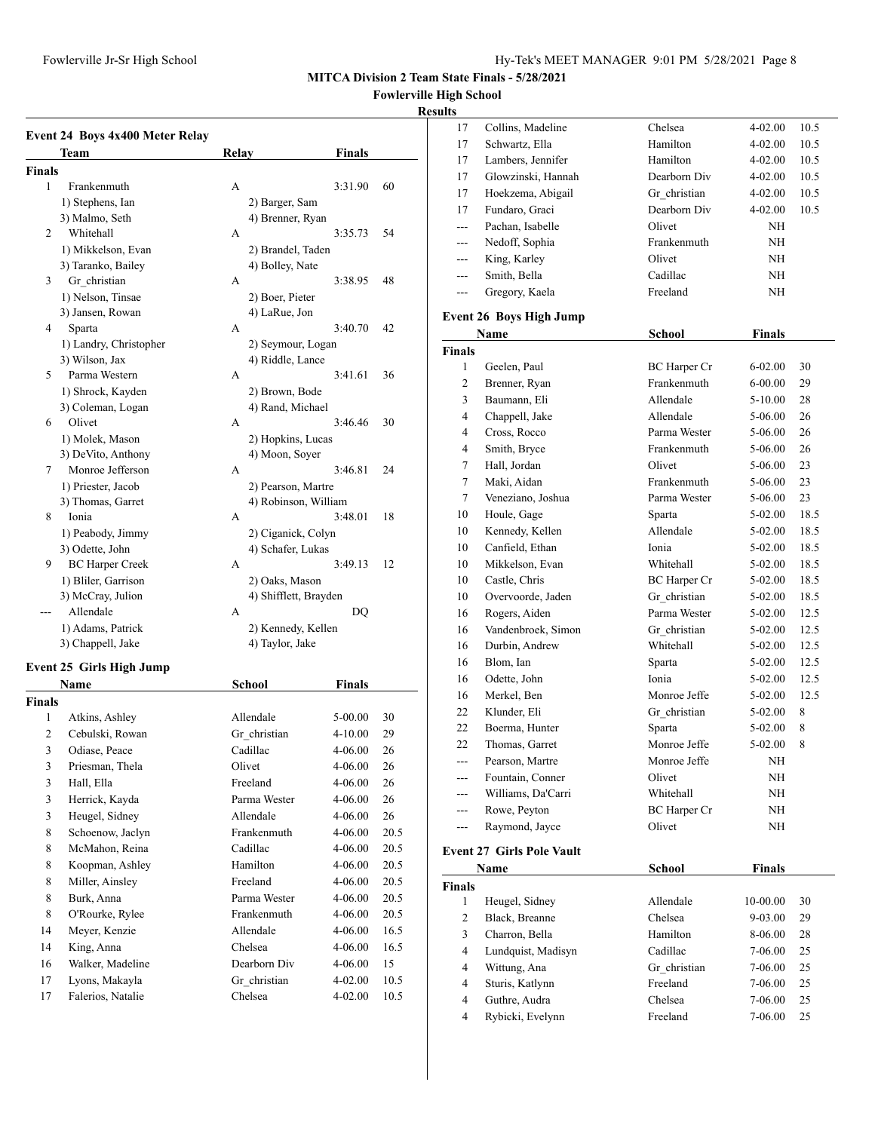## **Fowlerville High School**

#### **Results**

|               | <b>Event 24 Boys 4x400 Meter Relay</b> |       |                       |    |
|---------------|----------------------------------------|-------|-----------------------|----|
|               | <b>Team</b>                            | Relay | Finals                |    |
| <b>Finals</b> |                                        |       |                       |    |
| 1             | Frankenmuth                            | А     | 3:31.90               | 60 |
|               | 1) Stephens, Ian                       |       | 2) Barger, Sam        |    |
|               | 3) Malmo, Seth                         |       | 4) Brenner, Ryan      |    |
| 2             | Whitehall                              | А     | 3:35.73               | 54 |
|               | 1) Mikkelson, Evan                     |       | 2) Brandel, Taden     |    |
|               | 3) Taranko, Bailey                     |       | 4) Bolley, Nate       |    |
| 3             | Gr christian                           | A     | 3:38.95               | 48 |
|               | 1) Nelson, Tinsae                      |       | 2) Boer, Pieter       |    |
|               | 3) Jansen, Rowan                       |       | 4) LaRue, Jon         |    |
| 4             | Sparta                                 | А     | 3:40.70               | 42 |
|               | 1) Landry, Christopher                 |       | 2) Seymour, Logan     |    |
|               | 3) Wilson, Jax                         |       | 4) Riddle, Lance      |    |
| 5             | Parma Western                          | А     | 3:41.61               | 36 |
|               | 1) Shrock, Kayden                      |       | 2) Brown, Bode        |    |
|               | 3) Coleman, Logan                      |       | 4) Rand, Michael      |    |
| 6             | Olivet                                 | A     | 3:46.46               | 30 |
|               | 1) Molek, Mason                        |       | 2) Hopkins, Lucas     |    |
|               | 3) DeVito, Anthony                     |       | 4) Moon, Soyer        |    |
| 7             | Monroe Jefferson                       | А     | 3:46.81               | 24 |
|               | 1) Priester, Jacob                     |       | 2) Pearson, Martre    |    |
|               | 3) Thomas, Garret                      |       | 4) Robinson, William  |    |
| 8             | Ionia                                  | А     | 3:48.01               | 18 |
|               | 1) Peabody, Jimmy                      |       | 2) Ciganick, Colyn    |    |
|               | 3) Odette, John                        |       | 4) Schafer, Lukas     |    |
| 9             | <b>BC</b> Harper Creek                 | А     | 3:49.13               | 12 |
|               | 1) Bliler, Garrison                    |       | 2) Oaks, Mason        |    |
|               | 3) McCray, Julion                      |       | 4) Shifflett, Brayden |    |
|               | Allendale                              | A     | DO                    |    |
|               | 1) Adams, Patrick                      |       | 2) Kennedy, Kellen    |    |
|               | 3) Chappell, Jake                      |       | 4) Taylor, Jake       |    |

## **Event 25 Girls High Jump**

|        | Name              | School       | Finals      |      |
|--------|-------------------|--------------|-------------|------|
| Finals |                   |              |             |      |
| 1      | Atkins, Ashley    | Allendale    | 5-00.00     | 30   |
| 2      | Cebulski, Rowan   | Gr_christian | $4 - 10.00$ | 29   |
| 3      | Odiase, Peace     | Cadillac     | $4 - 06.00$ | 26   |
| 3      | Priesman, Thela   | Olivet       | $4 - 06.00$ | 26   |
| 3      | Hall, Ella        | Freeland     | $4 - 06.00$ | 26   |
| 3      | Herrick, Kayda    | Parma Wester | $4 - 06.00$ | 26   |
| 3      | Heugel, Sidney    | Allendale    | $4 - 06.00$ | 26   |
| 8      | Schoenow, Jaclyn  | Frankenmuth  | $4 - 06.00$ | 20.5 |
| 8      | McMahon, Reina    | Cadillac     | $4 - 06.00$ | 20.5 |
| 8      | Koopman, Ashley   | Hamilton     | $4 - 06.00$ | 20.5 |
| 8      | Miller, Ainsley   | Freeland     | $4 - 06.00$ | 20.5 |
| 8      | Burk, Anna        | Parma Wester | $4 - 06.00$ | 20.5 |
| 8      | O'Rourke, Rylee   | Frankenmuth  | $4 - 06.00$ | 20.5 |
| 14     | Meyer, Kenzie     | Allendale    | $4 - 06.00$ | 16.5 |
| 14     | King, Anna        | Chelsea      | $4 - 06.00$ | 16.5 |
| 16     | Walker, Madeline  | Dearborn Div | $4 - 06.00$ | 15   |
| 17     | Lyons, Makayla    | Gr christian | $4 - 02.00$ | 10.5 |
| 17     | Falerios, Natalie | Chelsea      | $4 - 02.00$ | 10.5 |
|        |                   |              |             |      |

| IUS     |                    |              |             |      |
|---------|--------------------|--------------|-------------|------|
| 17      | Collins, Madeline  | Chelsea      | $4 - 02.00$ | 10.5 |
| 17      | Schwartz, Ella     | Hamilton     | $4 - 02.00$ | 10.5 |
| 17      | Lambers, Jennifer  | Hamilton     | $4 - 02.00$ | 10.5 |
| 17      | Glowzinski, Hannah | Dearborn Div | $4 - 02.00$ | 10.5 |
| 17      | Hoekzema, Abigail  | Gr christian | $4 - 02.00$ | 10.5 |
| 17      | Fundaro, Graci     | Dearborn Div | $4 - 02.00$ | 10.5 |
| $- - -$ | Pachan, Isabelle   | Olivet       | NH          |      |
| $- - -$ | Nedoff, Sophia     | Frankenmuth  | NH          |      |
| $---$   | King, Karley       | Olivet       | NH          |      |
| $- - -$ | Smith, Bella       | Cadillac     | NH          |      |
|         | Gregory, Kaela     | Freeland     | NH          |      |
|         |                    |              |             |      |

## **Event 26 Boys High Jump**

|                | Name               | <b>School</b>       | <b>Finals</b> |      |
|----------------|--------------------|---------------------|---------------|------|
| <b>Finals</b>  |                    |                     |               |      |
| 1              | Geelen, Paul       | <b>BC</b> Harper Cr | $6 - 02.00$   | 30   |
| 2              | Brenner, Ryan      | Frankenmuth         | $6 - 00.00$   | 29   |
| 3              | Baumann, Eli       | Allendale           | $5-10.00$     | 28   |
| $\overline{4}$ | Chappell, Jake     | Allendale           | $5-06.00$     | 26   |
| 4              | Cross, Rocco       | Parma Wester        | $5-06.00$     | 26   |
| $\overline{4}$ | Smith, Bryce       | Frankenmuth         | $5-06.00$     | 26   |
| 7              | Hall, Jordan       | Olivet              | $5-06.00$     | 23   |
| 7              | Maki, Aidan        | Frankenmuth         | 5-06.00       | 23   |
| $\tau$         | Veneziano, Joshua  | Parma Wester        | $5-06.00$     | 23   |
| 10             | Houle, Gage        | Sparta              | $5-02.00$     | 18.5 |
| 10             | Kennedy, Kellen    | Allendale           | $5-02.00$     | 18.5 |
| 10             | Canfield, Ethan    | Ionia               | $5-02.00$     | 18.5 |
| 10             | Mikkelson, Evan    | Whitehall           | $5-02.00$     | 18.5 |
| 10             | Castle, Chris      | <b>BC</b> Harper Cr | $5-02.00$     | 18.5 |
| 10             | Overvoorde, Jaden  | Gr christian        | $5-02.00$     | 18.5 |
| 16             | Rogers, Aiden      | Parma Wester        | $5-02.00$     | 12.5 |
| 16             | Vandenbroek, Simon | Gr_christian        | $5-02.00$     | 12.5 |
| 16             | Durbin, Andrew     | Whitehall           | $5-02.00$     | 12.5 |
| 16             | Blom, Ian          | Sparta              | $5-02.00$     | 12.5 |
| 16             | Odette, John       | Ionia               | $5-02.00$     | 12.5 |
| 16             | Merkel, Ben        | Monroe Jeffe        | $5-02.00$     | 12.5 |
| 22             | Klunder, Eli       | Gr christian        | $5-02.00$     | 8    |
| 22             | Boerma, Hunter     | Sparta              | 5-02.00       | 8    |
| 22             | Thomas, Garret     | Monroe Jeffe        | $5-02.00$     | 8    |
| ---            | Pearson, Martre    | Monroe Jeffe        | NH            |      |
| ---            | Fountain, Conner   | Olivet              | NH            |      |
| ---            | Williams, Da'Carri | Whitehall           | NH            |      |
| ---            | Rowe, Peyton       | <b>BC</b> Harper Cr | NH            |      |
| $---$          | Raymond, Jayce     | Olivet              | NH            |      |
|                |                    |                     |               |      |

## **Event 27 Girls Pole Vault**

|               | Name               | School       | Finals      |    |
|---------------|--------------------|--------------|-------------|----|
| <b>Finals</b> |                    |              |             |    |
| 1             | Heugel, Sidney     | Allendale    | 10-00.00    | 30 |
| 2             | Black, Breanne     | Chelsea      | $9 - 03.00$ | 29 |
| 3             | Charron, Bella     | Hamilton     | 8-06.00     | 28 |
| 4             | Lundquist, Madisyn | Cadillac     | 7-06.00     | 25 |
| 4             | Wittung, Ana       | Gr christian | 7-06.00     | 25 |
| 4             | Sturis, Katlynn    | Freeland     | 7-06.00     | 25 |
| 4             | Guthre, Audra      | Chelsea      | 7-06.00     | 25 |
| 4             | Rybicki, Evelynn   | Freeland     | 7-06.00     | 25 |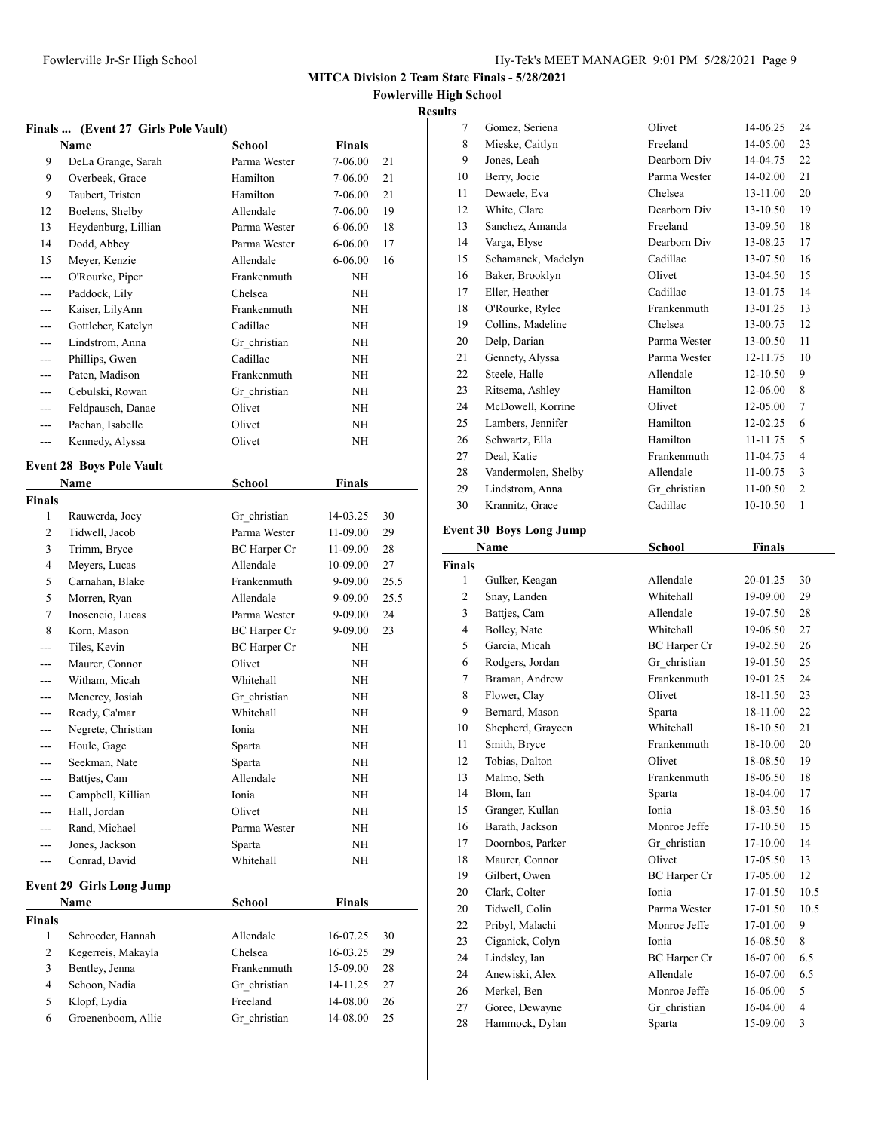**Fowlerville High School**

## **Results**

|                | Finals  (Event 27 Girls Pole Vault) |                     |               |      |
|----------------|-------------------------------------|---------------------|---------------|------|
|                | <b>Name</b>                         | School              | <b>Finals</b> |      |
| 9              | DeLa Grange, Sarah                  | Parma Wester        | 7-06.00       | 21   |
| 9              | Overbeek, Grace                     | Hamilton            | 7-06.00       | 21   |
| 9              | Taubert, Tristen                    | Hamilton            | 7-06.00       | 21   |
| 12             | Boelens, Shelby                     | Allendale           | 7-06.00       | 19   |
| 13             | Heydenburg, Lillian                 | Parma Wester        | $6 - 06.00$   | 18   |
| 14             | Dodd, Abbey                         | Parma Wester        | $6 - 06.00$   | 17   |
| 15             | Meyer, Kenzie                       | Allendale           | $6 - 06.00$   | 16   |
| $- - -$        | O'Rourke, Piper                     | Frankenmuth         | <b>NH</b>     |      |
| $---$          | Paddock, Lily                       | Chelsea             | NH            |      |
| ---            | Kaiser, LilyAnn                     | Frankenmuth         | NH            |      |
| ---            | Gottleber, Katelyn                  | Cadillac            | NΗ            |      |
| $---$          | Lindstrom, Anna                     | Gr christian        | NΗ            |      |
| ---            | Phillips, Gwen                      | Cadillac            | NΗ            |      |
| $---$          | Paten, Madison                      | Frankenmuth         | NΗ            |      |
| $---$          | Cebulski, Rowan                     | Gr christian        | NΗ            |      |
| ---            | Feldpausch, Danae                   | Olivet              | NH            |      |
| $- - -$        | Pachan, Isabelle                    | Olivet              | NH            |      |
| $---$          | Kennedy, Alyssa                     | Olivet              | NH            |      |
|                |                                     |                     |               |      |
|                | <b>Event 28 Boys Pole Vault</b>     |                     |               |      |
|                | Name                                | <b>School</b>       | <b>Finals</b> |      |
| <b>Finals</b>  |                                     |                     |               |      |
| 1              | Rauwerda, Joey                      | Gr christian        | 14-03.25      | 30   |
| 2              | Tidwell, Jacob                      | Parma Wester        | 11-09.00      | 29   |
| 3              | Trimm, Bryce                        | <b>BC</b> Harper Cr | 11-09.00      | 28   |
| 4              | Meyers, Lucas                       | Allendale           | 10-09.00      | 27   |
| 5              | Carnahan, Blake                     | Frankenmuth         | 9-09.00       | 25.5 |
| 5              | Morren, Ryan                        | Allendale           | 9-09.00       | 25.5 |
| 7              | Inosencio, Lucas                    | Parma Wester        | 9-09.00       | 24   |
| 8              | Korn, Mason                         | BC Harper Cr        | 9-09.00       | 23   |
| $- - -$        | Tiles, Kevin                        | <b>BC</b> Harper Cr | NH            |      |
| $---$          | Maurer, Connor                      | Olivet              | NH            |      |
| ---            | Witham, Micah                       | Whitehall           | NH            |      |
| $---$          | Menerey, Josiah                     | Gr christian        | <b>NH</b>     |      |
| ---            | Ready, Ca'mar                       | Whitehall           | ΝH            |      |
|                | Negrete, Christian                  | Ionia               | NΗ            |      |
| ---            | Houle, Gage                         | Sparta              | ΝH            |      |
| ---            | Seekman, Nate                       | Sparta              | NΗ            |      |
| ---            | Battjes, Cam                        | Allendale           | NΗ            |      |
| ---            | Campbell, Killian                   | Ionia               | NΗ            |      |
| ---            | Hall, Jordan                        | Olivet              | NΗ            |      |
|                | Rand, Michael<br>Jones, Jackson     | Parma Wester        | NΗ            |      |
| ---            |                                     | Sparta              | NΗ            |      |
| $---$          | Conrad, David                       | Whitehall           | NΗ            |      |
|                | <b>Event 29 Girls Long Jump</b>     |                     |               |      |
|                | Name                                | <b>School</b>       | Finals        |      |
| <b>Finals</b>  |                                     |                     |               |      |
| 1              | Schroeder, Hannah                   | Allendale           | 16-07.25      | 30   |
| 2              | Kegerreis, Makayla                  | Chelsea             | 16-03.25      | 29   |
| 3              | Bentley, Jenna                      | Frankenmuth         | 15-09.00      | 28   |
| $\overline{4}$ | Schoon, Nadia                       | Gr christian        | 14-11.25      | 27   |
| 5              | Klopf, Lydia                        | Freeland            | 14-08.00      | 26   |
| 6              | Groenenboom, Allie                  | Gr christian        | 14-08.00      | 25   |
|                |                                     |                     |               |      |

| unts          |                                |              |              |                |
|---------------|--------------------------------|--------------|--------------|----------------|
| $\tau$        | Gomez, Seriena                 | Olivet       | 14-06.25     | 24             |
| 8             | Mieske, Caitlyn                | Freeland     | 14-05.00     | 23             |
| 9             | Jones, Leah                    | Dearborn Div | 14-04.75     | 22             |
| 10            | Berry, Jocie                   | Parma Wester | 14-02.00     | 21             |
| 11            | Dewaele, Eva                   | Chelsea      | 13-11.00     | 20             |
| 12            | White, Clare                   | Dearborn Div | 13-10.50     | 19             |
| 13            | Sanchez, Amanda                | Freeland     | 13-09.50     | 18             |
| 14            | Varga, Elyse                   | Dearborn Div | 13-08.25     | 17             |
| 15            | Schamanek, Madelyn             | Cadillac     | 13-07.50     | 16             |
| 16            | Baker, Brooklyn                | Olivet       | 13-04.50     | 15             |
| 17            | Eller, Heather                 | Cadillac     | 13-01.75     | 14             |
| 18            | O'Rourke, Rylee                | Frankenmuth  | 13-01.25     | 13             |
| 19            | Collins, Madeline              | Chelsea      | 13-00.75     | 12             |
| 20            | Delp, Darian                   | Parma Wester | 13-00.50     | 11             |
| 21            | Gennety, Alyssa                | Parma Wester | 12-11.75     | 10             |
| 22            | Steele, Halle                  | Allendale    | $12 - 10.50$ | 9              |
| 23            | Ritsema, Ashley                | Hamilton     | 12-06.00     | 8              |
| 24            | McDowell, Korrine              | Olivet       | 12-05.00     | 7              |
| 25            | Lambers, Jennifer              | Hamilton     | 12-02.25     | 6              |
| 26            | Schwartz, Ella                 | Hamilton     | 11-11.75     | 5              |
| 27            | Deal, Katie                    | Frankenmuth  | 11-04.75     | $\overline{4}$ |
| 28            | Vandermolen, Shelby            | Allendale    | 11-00.75     | 3              |
| 29            | Lindstrom, Anna                | Gr christian | 11-00.50     | $\overline{2}$ |
| 30            | Krannitz, Grace                | Cadillac     | 10-10.50     | $\mathbf{1}$   |
|               | <b>Event 30 Boys Long Jump</b> |              |              |                |
| Name          |                                | School       | Finals       |                |
| <b>Finals</b> |                                |              |              |                |

|                | Name              | School              | <b>Finals</b> |                |
|----------------|-------------------|---------------------|---------------|----------------|
| nals           |                   |                     |               |                |
| 1              | Gulker, Keagan    | Allendale           | 20-01.25      | 30             |
| $\overline{c}$ | Snay, Landen      | Whitehall           | 19-09.00      | 29             |
| 3              | Battjes, Cam      | Allendale           | 19-07.50      | 28             |
| $\overline{4}$ | Bolley, Nate      | Whitehall           | 19-06.50      | 27             |
| 5              | Garcia, Micah     | <b>BC</b> Harper Cr | 19-02.50      | 26             |
| 6              | Rodgers, Jordan   | Gr christian        | 19-01.50      | 25             |
| 7              | Braman, Andrew    | Frankenmuth         | 19-01.25      | 24             |
| 8              | Flower, Clay      | Olivet              | 18-11.50      | 23             |
| 9              | Bernard, Mason    | Sparta              | 18-11.00      | 22             |
| 10             | Shepherd, Graycen | Whitehall           | 18-10.50      | 21             |
| 11             | Smith, Bryce      | Frankenmuth         | 18-10.00      | 20             |
| 12             | Tobias, Dalton    | Olivet              | 18-08.50      | 19             |
| 13             | Malmo, Seth       | Frankenmuth         | 18-06.50      | 18             |
| 14             | Blom, Ian         | Sparta              | 18-04.00      | 17             |
| 15             | Granger, Kullan   | Ionia               | 18-03.50      | 16             |
| 16             | Barath, Jackson   | Monroe Jeffe        | 17-10.50      | 15             |
| 17             | Doornbos, Parker  | Gr christian        | 17-10.00      | 14             |
| 18             | Maurer, Connor    | Olivet              | 17-05.50      | 13             |
| 19             | Gilbert, Owen     | <b>BC</b> Harper Cr | 17-05.00      | 12             |
| 20             | Clark, Colter     | Ionia               | 17-01.50      | 10.5           |
| 20             | Tidwell, Colin    | Parma Wester        | 17-01.50      | 10.5           |
| 22             | Pribyl, Malachi   | Monroe Jeffe        | 17-01.00      | 9              |
| 23             | Ciganick, Colyn   | Ionia               | 16-08.50      | 8              |
| 24             | Lindsley, Ian     | BC Harper Cr        | 16-07.00      | 6.5            |
| 24             | Anewiski, Alex    | Allendale           | 16-07.00      | 6.5            |
| 26             | Merkel, Ben       | Monroe Jeffe        | 16-06.00      | 5              |
| 27             | Goree, Dewayne    | Gr christian        | 16-04.00      | $\overline{4}$ |
| 28             | Hammock, Dylan    | Sparta              | 15-09.00      | 3              |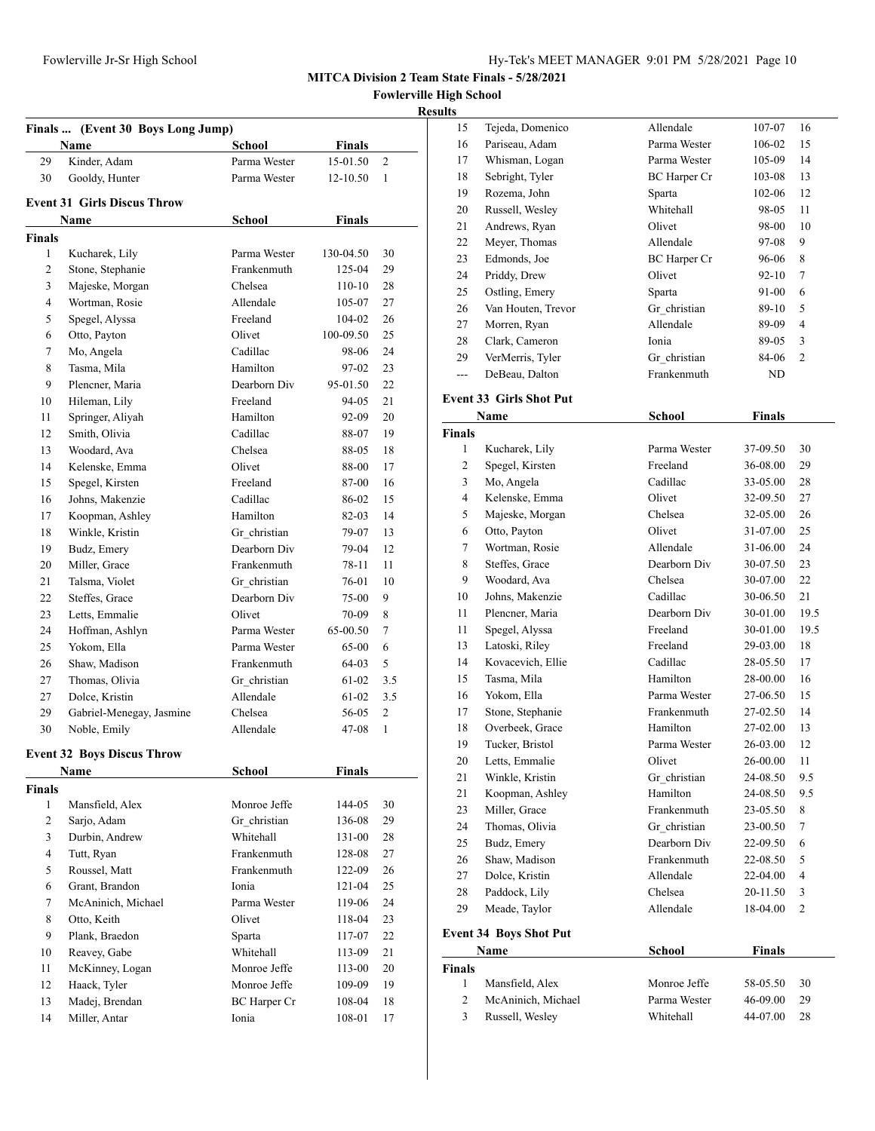**Fowlerville High School**

# **Results**

| Finals  (Event 30 Boys Long Jump) |                                     |               |                     |                |
|-----------------------------------|-------------------------------------|---------------|---------------------|----------------|
|                                   | Name                                | School        | Finals              |                |
| 29                                | Kinder, Adam                        | Parma Wester  | 15-01.50            | $\overline{c}$ |
| 30                                | Gooldy, Hunter                      | Parma Wester  | $12 - 10.50$        | 1              |
|                                   | <b>Event 31 Girls Discus Throw</b>  |               |                     |                |
|                                   |                                     |               |                     |                |
|                                   | Name                                | School        | Finals              |                |
| <b>Finals</b><br>1                |                                     | Parma Wester  |                     |                |
| 2                                 | Kucharek, Lily                      | Frankenmuth   | 130-04.50<br>125-04 | 30<br>29       |
| 3                                 | Stone, Stephanie<br>Majeske, Morgan | Chelsea       | 110-10              | 28             |
| 4                                 | Wortman, Rosie                      | Allendale     | 105-07              | 27             |
| 5                                 | Spegel, Alyssa                      | Freeland      | 104-02              | 26             |
| 6                                 | Otto, Payton                        | Olivet        | 100-09.50           | 25             |
| 7                                 | Mo, Angela                          | Cadillac      | 98-06               | 24             |
| 8                                 | Tasma, Mila                         | Hamilton      | 97-02               | 23             |
| 9                                 | Plencner, Maria                     | Dearborn Div  | 95-01.50            | 22             |
| 10                                | Hileman, Lily                       | Freeland      | 94-05               | 21             |
| 11                                | Springer, Aliyah                    | Hamilton      | 92-09               | 20             |
| 12                                | Smith, Olivia                       | Cadillac      | 88-07               | 19             |
| 13                                | Woodard, Ava                        | Chelsea       | 88-05               | 18             |
| 14                                | Kelenske, Emma                      | Olivet        | 88-00               | 17             |
| 15                                | Spegel, Kirsten                     | Freeland      | 87-00               | 16             |
| 16                                | Johns, Makenzie                     | Cadillac      | 86-02               | 15             |
| 17                                | Koopman, Ashley                     | Hamilton      | 82-03               | 14             |
| 18                                | Winkle, Kristin                     | Gr christian  | 79-07               | 13             |
| 19                                | Budz, Emery                         | Dearborn Div  | 79-04               | 12             |
| 20                                | Miller, Grace                       | Frankenmuth   | 78-11               | 11             |
| 21                                | Talsma, Violet                      | Gr christian  | 76-01               | 10             |
| 22                                | Steffes, Grace                      | Dearborn Div  | 75-00               | 9              |
| 23                                | Letts, Emmalie                      | Olivet        | 70-09               | 8              |
| 24                                | Hoffman, Ashlyn                     | Parma Wester  | 65-00.50            | 7              |
| 25                                | Yokom, Ella                         | Parma Wester  | 65-00               | 6              |
| 26                                | Shaw, Madison                       | Frankenmuth   | 64-03               | 5              |
| 27                                | Thomas, Olivia                      | Gr christian  | 61-02               | 3.5            |
| 27                                | Dolce, Kristin                      | Allendale     | 61-02               | 3.5            |
| 29                                | Gabriel-Menegay, Jasmine            | Chelsea       | 56-05               | 2              |
| 30                                | Noble, Emily                        | Allendale     | 47-08               | $\mathbf{1}$   |
|                                   |                                     |               |                     |                |
|                                   | <b>Event 32 Boys Discus Throw</b>   |               |                     |                |
|                                   | Name                                | <b>School</b> | Finals              |                |
| <b>Finals</b>                     |                                     |               |                     |                |
| 1                                 | Mansfield, Alex                     | Monroe Jeffe  | 144-05              | 30             |
| 2                                 | Sarjo, Adam                         | Gr christian  | 136-08              | 29             |
| 3                                 | Durbin, Andrew                      | Whitehall     | 131-00              | 28             |
| 4                                 | Tutt, Ryan                          | Frankenmuth   | 128-08              | 27             |
| 5                                 | Roussel, Matt                       | Frankenmuth   | 122-09              | 26             |
| 6                                 | Grant, Brandon                      | Ionia         | 121-04              | 25             |
| 7                                 | McAninich, Michael                  | Parma Wester  | 119-06              | 24             |
| 8                                 | Otto, Keith                         | Olivet        | 118-04              | 23             |
| 9                                 | Plank, Braedon                      | Sparta        | 117-07              | 22             |
| 10                                | Reavey, Gabe                        | Whitehall     | 113-09              | 21             |
| 11                                | McKinney, Logan                     | Monroe Jeffe  | 113-00              | 20             |
| 12                                | Haack, Tyler                        | Monroe Jeffe  | 109-09              | 19             |
| 13                                | Madej, Brendan                      | BC Harper Cr  | 108-04              | 18             |
| 14                                | Miller, Antar                       | Ionia         | 108-01              | 17             |

| .              |                                |                     |               |      |  |
|----------------|--------------------------------|---------------------|---------------|------|--|
| 15             | Tejeda, Domenico               | Allendale           | 107-07        | 16   |  |
| 16             | Pariseau, Adam                 | Parma Wester        | 106-02        | 15   |  |
| 17             | Whisman, Logan                 | Parma Wester        | 105-09        | 14   |  |
| 18             | Sebright, Tyler                | <b>BC</b> Harper Cr | 103-08        | 13   |  |
| 19             | Rozema, John                   | Sparta              | 102-06        | 12   |  |
| 20             | Russell, Wesley                | Whitehall           | 98-05         | 11   |  |
| 21             | Andrews, Ryan                  | Olivet              | 98-00         | 10   |  |
| 22             | Meyer, Thomas                  | Allendale           | 97-08         | 9    |  |
| 23             | Edmonds, Joe                   | <b>BC</b> Harper Cr | 96-06         | 8    |  |
| 24             | Priddy, Drew                   | Olivet              | $92 - 10$     | 7    |  |
| 25             | Ostling, Emery                 | Sparta              | 91-00         | 6    |  |
| 26             | Van Houten, Trevor             | Gr_christian        | 89-10         | 5    |  |
| 27             | Morren, Ryan                   | Allendale           | 89-09         | 4    |  |
| 28             | Clark, Cameron                 | Ionia               | 89-05         | 3    |  |
| 29             | VerMerris, Tyler               | Gr christian        | 84-06         | 2    |  |
| ---            | DeBeau, Dalton                 | Frankenmuth         | ND            |      |  |
|                |                                |                     |               |      |  |
|                | <b>Event 33 Girls Shot Put</b> |                     |               |      |  |
|                | Name                           | School              | <b>Finals</b> |      |  |
| <b>Finals</b>  |                                |                     |               |      |  |
| 1              | Kucharek, Lily                 | Parma Wester        | 37-09.50      | 30   |  |
| 2              | Spegel, Kirsten                | Freeland            | 36-08.00      | 29   |  |
| 3              | Mo, Angela                     | Cadillac            | 33-05.00      | 28   |  |
| $\overline{4}$ | Kelenske, Emma                 | Olivet              | 32-09.50      | 27   |  |
| 5              | Majeske, Morgan                | Chelsea             | 32-05.00      | 26   |  |
| 6              | Otto, Payton                   | Olivet              | 31-07.00      | 25   |  |
| 7              | Wortman, Rosie                 | Allendale           | 31-06.00      | 24   |  |
| 8              | Steffes, Grace                 | Dearborn Div        | 30-07.50      | 23   |  |
| 9              | Woodard, Ava                   | Chelsea             | 30-07.00      | 22   |  |
| 10             | Johns, Makenzie                | Cadillac            | 30-06.50      | 21   |  |
| 11             | Plencner, Maria                | Dearborn Div        | 30-01.00      | 19.5 |  |
| 11             | Spegel, Alyssa                 | Freeland            | 30-01.00      | 19.5 |  |
| 13             | Latoski, Riley                 | Freeland            | 29-03.00      | 18   |  |
| 14             | Kovacevich, Ellie              | Cadillac            | 28-05.50      | 17   |  |
| 15             | Tasma, Mila                    | Hamilton            | 28-00.00      | 16   |  |
| 16             | Yokom. Ella                    | Parma Wester        | 27-06.50      | 15   |  |
| 17             | Stone, Stephanie               | Frankenmuth         | 27-02.50      | 14   |  |
| 18             | Overbeek, Grace                | Hamilton            | 27-02.00      | 13   |  |
| 19             | Tucker, Bristol                | Parma Wester        | 26-03.00      | 12   |  |
| 20             | Letts, Emmalie                 | Olivet              | 26-00.00      | 11   |  |
| 21             | Winkle, Kristin                | Gr christian        | 24-08.50      | 9.5  |  |
| 21             | Koopman, Ashley                | Hamilton            | 24-08.50      | 9.5  |  |
| 23             | Miller, Grace                  | Frankenmuth         | 23-05.50      | 8    |  |
| 24             | Thomas, Olivia                 | Gr_christian        | 23-00.50      | 7    |  |
| 25             | Budz, Emery                    | Dearborn Div        | 22-09.50      | 6    |  |
| 26             | Shaw, Madison                  | Frankenmuth         | 22-08.50      | 5    |  |
| 27             | Dolce, Kristin                 | Allendale           | 22-04.00      | 4    |  |
| 28             | Paddock, Lily                  | Chelsea             | 20-11.50      | 3    |  |
| 29             | Meade, Taylor                  | Allendale           | 18-04.00      | 2    |  |
|                | <b>Event 34 Boys Shot Put</b>  |                     |               |      |  |
|                | Name                           | School              | <b>Finals</b> |      |  |
| <b>Finals</b>  |                                |                     |               |      |  |
| $\mathbf{1}$   | Mansfield, Alex                | Monroe Jeffe        | 58-05.50      | 30   |  |
| $\overline{c}$ | McAninich, Michael             | Parma Wester        | 46-09.00      | 29   |  |
| 3              | Russell, Wesley                | Whitehall           | 44-07.00      | 28   |  |
|                |                                |                     |               |      |  |